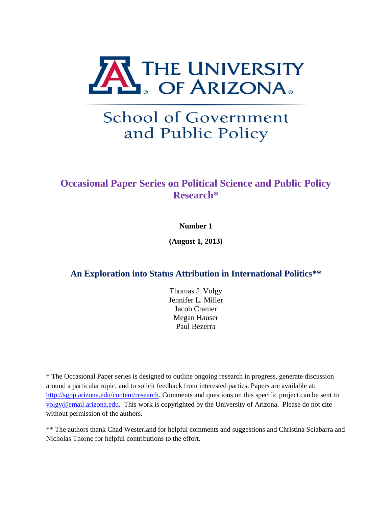

# **School of Government** and Public Policy

# **Occasional Paper Series on Political Science and Public Policy Research\***

## **Number 1**

**(August 1, 2013)**

# **An Exploration into Status Attribution in International Politics\*\***

Thomas J. Volgy Jennifer L. Miller Jacob Cramer Megan Hauser Paul Bezerra

\* The Occasional Paper series is designed to outline ongoing research in progress, generate discussion around a particular topic, and to solicit feedback from interested parties. Papers are available at: [http://sgpp.arizona.edu/content/research.](http://sgpp.arizona.edu/content/research) Comments and questions on this specific project can be sent to [volgy@email.arizona.edu.](mailto:volgy@email.arizona.edu) This work is copyrighted by the University of Arizona. Please do not cite without permission of the authors.

\*\* The authors thank Chad Westerland for helpful comments and suggestions and Christina Sciabarra and Nicholas Thorne for helpful contributions to the effort.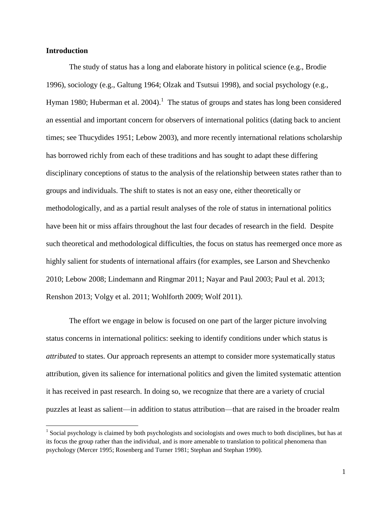#### **Introduction**

 $\overline{\phantom{a}}$ 

The study of status has a long and elaborate history in political science (e.g., Brodie 1996), sociology (e.g., Galtung 1964; Olzak and Tsutsui 1998), and social psychology (e.g., Hyman 1980; Huberman et al.  $2004$ ).<sup>1</sup> The status of groups and states has long been considered an essential and important concern for observers of international politics (dating back to ancient times; see Thucydides 1951; Lebow 2003), and more recently international relations scholarship has borrowed richly from each of these traditions and has sought to adapt these differing disciplinary conceptions of status to the analysis of the relationship between states rather than to groups and individuals. The shift to states is not an easy one, either theoretically or methodologically, and as a partial result analyses of the role of status in international politics have been hit or miss affairs throughout the last four decades of research in the field. Despite such theoretical and methodological difficulties, the focus on status has reemerged once more as highly salient for students of international affairs (for examples, see Larson and Shevchenko 2010; Lebow 2008; Lindemann and Ringmar 2011; Nayar and Paul 2003; Paul et al. 2013; Renshon 2013; Volgy et al. 2011; Wohlforth 2009; Wolf 2011).

The effort we engage in below is focused on one part of the larger picture involving status concerns in international politics: seeking to identify conditions under which status is *attributed* to states. Our approach represents an attempt to consider more systematically status attribution, given its salience for international politics and given the limited systematic attention it has received in past research. In doing so, we recognize that there are a variety of crucial puzzles at least as salient—in addition to status attribution—that are raised in the broader realm

<sup>&</sup>lt;sup>1</sup> Social psychology is claimed by both psychologists and sociologists and owes much to both disciplines, but has at its focus the group rather than the individual, and is more amenable to translation to political phenomena than psychology (Mercer 1995; Rosenberg and Turner 1981; Stephan and Stephan 1990).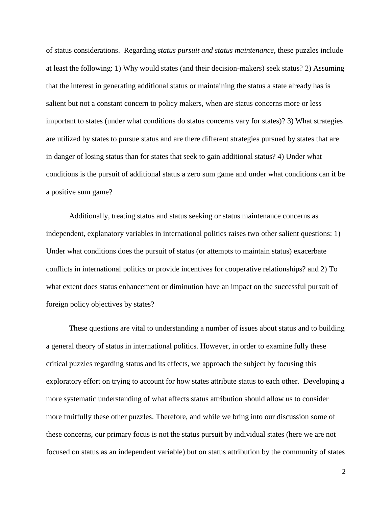of status considerations. Regarding *status pursuit and status maintenance*, these puzzles include at least the following: 1) Why would states (and their decision-makers) seek status? 2) Assuming that the interest in generating additional status or maintaining the status a state already has is salient but not a constant concern to policy makers, when are status concerns more or less important to states (under what conditions do status concerns vary for states)? 3) What strategies are utilized by states to pursue status and are there different strategies pursued by states that are in danger of losing status than for states that seek to gain additional status? 4) Under what conditions is the pursuit of additional status a zero sum game and under what conditions can it be a positive sum game?

Additionally, treating status and status seeking or status maintenance concerns as independent, explanatory variables in international politics raises two other salient questions: 1) Under what conditions does the pursuit of status (or attempts to maintain status) exacerbate conflicts in international politics or provide incentives for cooperative relationships? and 2) To what extent does status enhancement or diminution have an impact on the successful pursuit of foreign policy objectives by states?

These questions are vital to understanding a number of issues about status and to building a general theory of status in international politics. However, in order to examine fully these critical puzzles regarding status and its effects, we approach the subject by focusing this exploratory effort on trying to account for how states attribute status to each other. Developing a more systematic understanding of what affects status attribution should allow us to consider more fruitfully these other puzzles. Therefore, and while we bring into our discussion some of these concerns, our primary focus is not the status pursuit by individual states (here we are not focused on status as an independent variable) but on status attribution by the community of states

2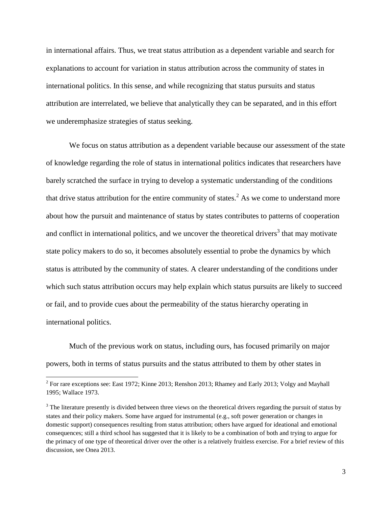in international affairs. Thus, we treat status attribution as a dependent variable and search for explanations to account for variation in status attribution across the community of states in international politics. In this sense, and while recognizing that status pursuits and status attribution are interrelated, we believe that analytically they can be separated, and in this effort we underemphasize strategies of status seeking.

We focus on status attribution as a dependent variable because our assessment of the state of knowledge regarding the role of status in international politics indicates that researchers have barely scratched the surface in trying to develop a systematic understanding of the conditions that drive status attribution for the entire community of states.<sup>2</sup> As we come to understand more about how the pursuit and maintenance of status by states contributes to patterns of cooperation and conflict in international politics, and we uncover the theoretical drivers<sup>3</sup> that may motivate state policy makers to do so, it becomes absolutely essential to probe the dynamics by which status is attributed by the community of states. A clearer understanding of the conditions under which such status attribution occurs may help explain which status pursuits are likely to succeed or fail, and to provide cues about the permeability of the status hierarchy operating in international politics.

Much of the previous work on status, including ours, has focused primarily on major powers, both in terms of status pursuits and the status attributed to them by other states in

<sup>&</sup>lt;sup>2</sup> For rare exceptions see: East 1972; Kinne 2013; Renshon 2013; Rhamey and Early 2013; Volgy and Mayhall 1995; Wallace 1973.

<sup>&</sup>lt;sup>3</sup> The literature presently is divided between three views on the theoretical drivers regarding the pursuit of status by states and their policy makers. Some have argued for instrumental (e.g., soft power generation or changes in domestic support) consequences resulting from status attribution; others have argued for ideational and emotional consequences; still a third school has suggested that it is likely to be a combination of both and trying to argue for the primacy of one type of theoretical driver over the other is a relatively fruitless exercise. For a brief review of this discussion, see Onea 2013.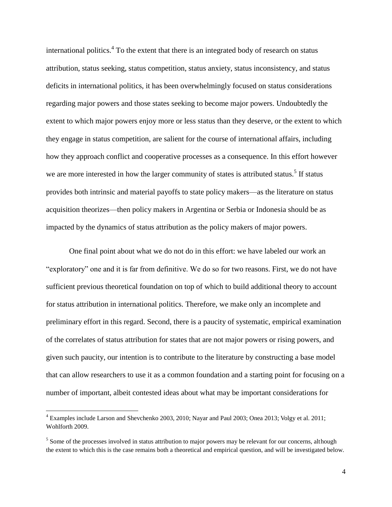international politics.<sup>4</sup> To the extent that there is an integrated body of research on status attribution, status seeking, status competition, status anxiety, status inconsistency, and status deficits in international politics, it has been overwhelmingly focused on status considerations regarding major powers and those states seeking to become major powers. Undoubtedly the extent to which major powers enjoy more or less status than they deserve, or the extent to which they engage in status competition, are salient for the course of international affairs, including how they approach conflict and cooperative processes as a consequence. In this effort however we are more interested in how the larger community of states is attributed status.<sup>5</sup> If status provides both intrinsic and material payoffs to state policy makers—as the literature on status acquisition theorizes—then policy makers in Argentina or Serbia or Indonesia should be as impacted by the dynamics of status attribution as the policy makers of major powers.

One final point about what we do not do in this effort: we have labeled our work an "exploratory" one and it is far from definitive. We do so for two reasons. First, we do not have sufficient previous theoretical foundation on top of which to build additional theory to account for status attribution in international politics. Therefore, we make only an incomplete and preliminary effort in this regard. Second, there is a paucity of systematic, empirical examination of the correlates of status attribution for states that are not major powers or rising powers, and given such paucity, our intention is to contribute to the literature by constructing a base model that can allow researchers to use it as a common foundation and a starting point for focusing on a number of important, albeit contested ideas about what may be important considerations for

<sup>4</sup> Examples include Larson and Shevchenko 2003, 2010; Nayar and Paul 2003; Onea 2013; Volgy et al. 2011; Wohlforth 2009.

<sup>&</sup>lt;sup>5</sup> Some of the processes involved in status attribution to major powers may be relevant for our concerns, although the extent to which this is the case remains both a theoretical and empirical question, and will be investigated below.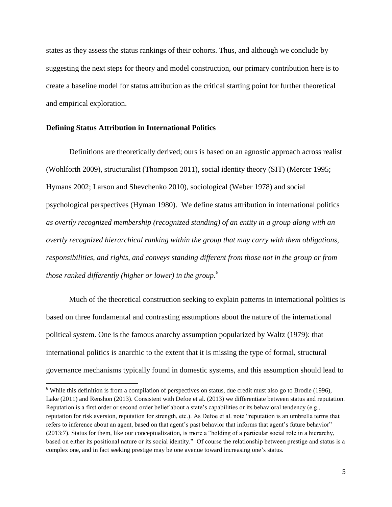states as they assess the status rankings of their cohorts. Thus, and although we conclude by suggesting the next steps for theory and model construction, our primary contribution here is to create a baseline model for status attribution as the critical starting point for further theoretical and empirical exploration.

#### **Defining Status Attribution in International Politics**

 $\overline{\phantom{a}}$ 

Definitions are theoretically derived; ours is based on an agnostic approach across realist (Wohlforth 2009), structuralist (Thompson 2011), social identity theory (SIT) (Mercer 1995; Hymans 2002; Larson and Shevchenko 2010), sociological (Weber 1978) and social psychological perspectives (Hyman 1980). We define status attribution in international politics *as overtly recognized membership (recognized standing) of an entity in a group along with an overtly recognized hierarchical ranking within the group that may carry with them obligations, responsibilities, and rights, and conveys standing different from those not in the group or from those ranked differently (higher or lower) in the group*. 6

Much of the theoretical construction seeking to explain patterns in international politics is based on three fundamental and contrasting assumptions about the nature of the international political system. One is the famous anarchy assumption popularized by Waltz (1979): that international politics is anarchic to the extent that it is missing the type of formal, structural governance mechanisms typically found in domestic systems, and this assumption should lead to

 $6$  While this definition is from a compilation of perspectives on status, due credit must also go to Brodie (1996), Lake (2011) and Renshon (2013). Consistent with Defoe et al. (2013) we differentiate between status and reputation. Reputation is a first order or second order belief about a state's capabilities or its behavioral tendency (e.g., reputation for risk aversion, reputation for strength, etc.). As Defoe et al. note "reputation is an umbrella terms that refers to inference about an agent, based on that agent's past behavior that informs that agent's future behavior" (2013:7). Status for them, like our conceptualization, is more a "holding of a particular social role in a hierarchy, based on either its positional nature or its social identity." Of course the relationship between prestige and status is a complex one, and in fact seeking prestige may be one avenue toward increasing one's status.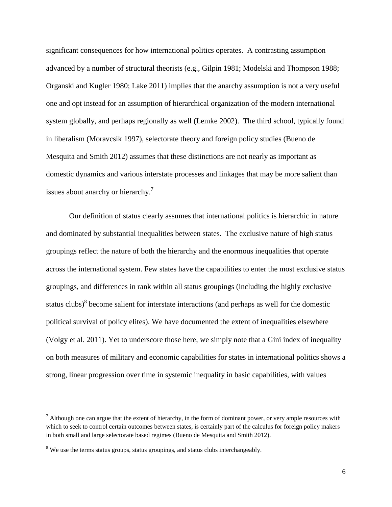significant consequences for how international politics operates. A contrasting assumption advanced by a number of structural theorists (e.g., Gilpin 1981; Modelski and Thompson 1988; Organski and Kugler 1980; Lake 2011) implies that the anarchy assumption is not a very useful one and opt instead for an assumption of hierarchical organization of the modern international system globally, and perhaps regionally as well (Lemke 2002). The third school, typically found in liberalism (Moravcsik 1997), selectorate theory and foreign policy studies (Bueno de Mesquita and Smith 2012) assumes that these distinctions are not nearly as important as domestic dynamics and various interstate processes and linkages that may be more salient than issues about anarchy or hierarchy.<sup>7</sup>

Our definition of status clearly assumes that international politics is hierarchic in nature and dominated by substantial inequalities between states. The exclusive nature of high status groupings reflect the nature of both the hierarchy and the enormous inequalities that operate across the international system. Few states have the capabilities to enter the most exclusive status groupings, and differences in rank within all status groupings (including the highly exclusive status clubs) $8$  become salient for interstate interactions (and perhaps as well for the domestic political survival of policy elites). We have documented the extent of inequalities elsewhere (Volgy et al. 2011). Yet to underscore those here, we simply note that a Gini index of inequality on both measures of military and economic capabilities for states in international politics shows a strong, linear progression over time in systemic inequality in basic capabilities, with values

 $<sup>7</sup>$  Although one can argue that the extent of hierarchy, in the form of dominant power, or very ample resources with</sup> which to seek to control certain outcomes between states, is certainly part of the calculus for foreign policy makers in both small and large selectorate based regimes (Bueno de Mesquita and Smith 2012).

<sup>&</sup>lt;sup>8</sup> We use the terms status groups, status groupings, and status clubs interchangeably.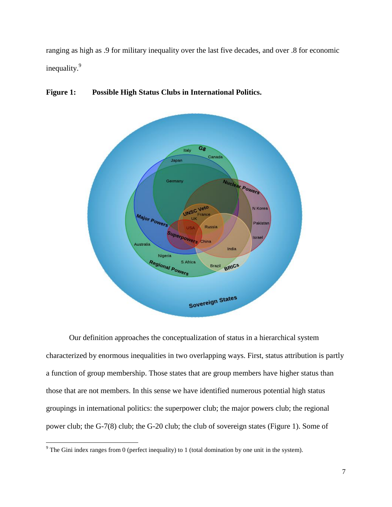ranging as high as .9 for military inequality over the last five decades, and over .8 for economic inequality.<sup>9</sup>



### **Figure 1: Possible High Status Clubs in International Politics.**

Our definition approaches the conceptualization of status in a hierarchical system characterized by enormous inequalities in two overlapping ways. First, status attribution is partly a function of group membership. Those states that are group members have higher status than those that are not members. In this sense we have identified numerous potential high status groupings in international politics: the superpower club; the major powers club; the regional power club; the G-7(8) club; the G-20 club; the club of sovereign states (Figure 1). Some of

 $\overline{\phantom{a}}$  $9^9$  The Gini index ranges from 0 (perfect inequality) to 1 (total domination by one unit in the system).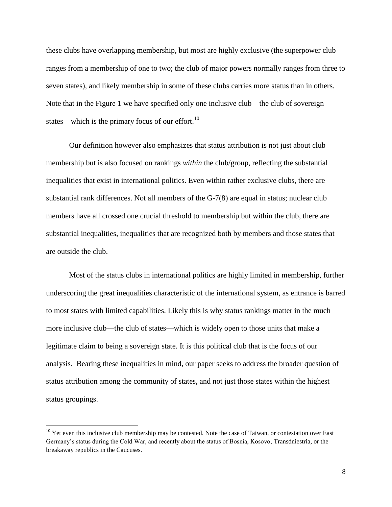these clubs have overlapping membership, but most are highly exclusive (the superpower club ranges from a membership of one to two; the club of major powers normally ranges from three to seven states), and likely membership in some of these clubs carries more status than in others. Note that in the Figure 1 we have specified only one inclusive club—the club of sovereign states—which is the primary focus of our effort.<sup>10</sup>

Our definition however also emphasizes that status attribution is not just about club membership but is also focused on rankings *within* the club/group, reflecting the substantial inequalities that exist in international politics. Even within rather exclusive clubs, there are substantial rank differences. Not all members of the G-7(8) are equal in status; nuclear club members have all crossed one crucial threshold to membership but within the club, there are substantial inequalities, inequalities that are recognized both by members and those states that are outside the club.

Most of the status clubs in international politics are highly limited in membership, further underscoring the great inequalities characteristic of the international system, as entrance is barred to most states with limited capabilities. Likely this is why status rankings matter in the much more inclusive club—the club of states—which is widely open to those units that make a legitimate claim to being a sovereign state. It is this political club that is the focus of our analysis. Bearing these inequalities in mind, our paper seeks to address the broader question of status attribution among the community of states, and not just those states within the highest status groupings.

 $10$  Yet even this inclusive club membership may be contested. Note the case of Taiwan, or contestation over East Germany's status during the Cold War, and recently about the status of Bosnia, Kosovo, Transdniestria, or the breakaway republics in the Caucuses.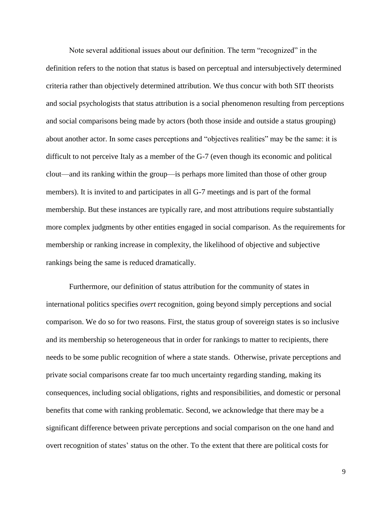Note several additional issues about our definition. The term "recognized" in the definition refers to the notion that status is based on perceptual and intersubjectively determined criteria rather than objectively determined attribution. We thus concur with both SIT theorists and social psychologists that status attribution is a social phenomenon resulting from perceptions and social comparisons being made by actors (both those inside and outside a status grouping) about another actor. In some cases perceptions and "objectives realities" may be the same: it is difficult to not perceive Italy as a member of the G-7 (even though its economic and political clout—and its ranking within the group—is perhaps more limited than those of other group members). It is invited to and participates in all G-7 meetings and is part of the formal membership. But these instances are typically rare, and most attributions require substantially more complex judgments by other entities engaged in social comparison. As the requirements for membership or ranking increase in complexity, the likelihood of objective and subjective rankings being the same is reduced dramatically.

Furthermore, our definition of status attribution for the community of states in international politics specifies *overt* recognition, going beyond simply perceptions and social comparison. We do so for two reasons. First, the status group of sovereign states is so inclusive and its membership so heterogeneous that in order for rankings to matter to recipients, there needs to be some public recognition of where a state stands. Otherwise, private perceptions and private social comparisons create far too much uncertainty regarding standing, making its consequences, including social obligations, rights and responsibilities, and domestic or personal benefits that come with ranking problematic. Second, we acknowledge that there may be a significant difference between private perceptions and social comparison on the one hand and overt recognition of states' status on the other. To the extent that there are political costs for

9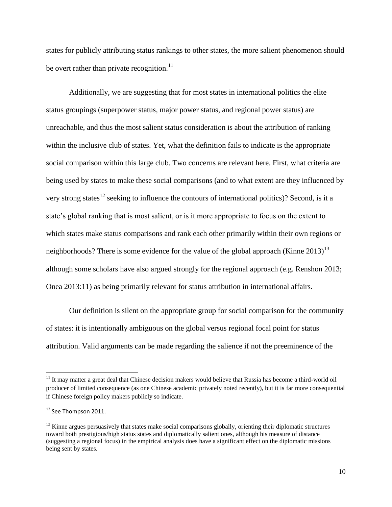states for publicly attributing status rankings to other states, the more salient phenomenon should be overt rather than private recognition. $^{11}$ 

Additionally, we are suggesting that for most states in international politics the elite status groupings (superpower status, major power status, and regional power status) are unreachable, and thus the most salient status consideration is about the attribution of ranking within the inclusive club of states. Yet, what the definition fails to indicate is the appropriate social comparison within this large club. Two concerns are relevant here. First, what criteria are being used by states to make these social comparisons (and to what extent are they influenced by very strong states<sup>12</sup> seeking to influence the contours of international politics)? Second, is it a state's global ranking that is most salient, or is it more appropriate to focus on the extent to which states make status comparisons and rank each other primarily within their own regions or neighborhoods? There is some evidence for the value of the global approach (Kinne  $2013$ )<sup>13</sup> although some scholars have also argued strongly for the regional approach (e.g. Renshon 2013; Onea 2013:11) as being primarily relevant for status attribution in international affairs.

Our definition is silent on the appropriate group for social comparison for the community of states: it is intentionally ambiguous on the global versus regional focal point for status attribution. Valid arguments can be made regarding the salience if not the preeminence of the

l

 $11$  It may matter a great deal that Chinese decision makers would believe that Russia has become a third-world oil producer of limited consequence (as one Chinese academic privately noted recently), but it is far more consequential if Chinese foreign policy makers publicly so indicate.

<sup>&</sup>lt;sup>12</sup> See Thompson 2011.

 $<sup>13</sup>$  Kinne argues persuasively that states make social comparisons globally, orienting their diplomatic structures</sup> toward both prestigious/high status states and diplomatically salient ones, although his measure of distance (suggesting a regional focus) in the empirical analysis does have a significant effect on the diplomatic missions being sent by states.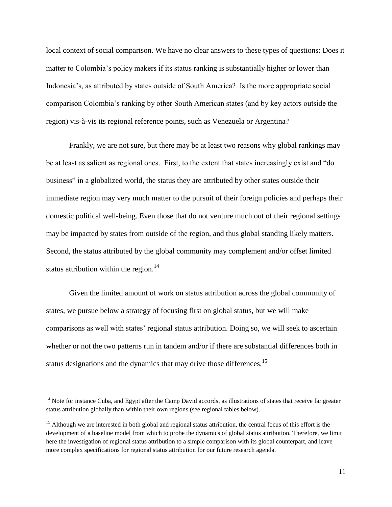local context of social comparison. We have no clear answers to these types of questions: Does it matter to Colombia's policy makers if its status ranking is substantially higher or lower than Indonesia's, as attributed by states outside of South America? Is the more appropriate social comparison Colombia's ranking by other South American states (and by key actors outside the region) vis-à-vis its regional reference points, such as Venezuela or Argentina?

Frankly, we are not sure, but there may be at least two reasons why global rankings may be at least as salient as regional ones. First, to the extent that states increasingly exist and "do business" in a globalized world, the status they are attributed by other states outside their immediate region may very much matter to the pursuit of their foreign policies and perhaps their domestic political well-being. Even those that do not venture much out of their regional settings may be impacted by states from outside of the region, and thus global standing likely matters. Second, the status attributed by the global community may complement and/or offset limited status attribution within the region. $^{14}$ 

Given the limited amount of work on status attribution across the global community of states, we pursue below a strategy of focusing first on global status, but we will make comparisons as well with states' regional status attribution. Doing so, we will seek to ascertain whether or not the two patterns run in tandem and/or if there are substantial differences both in status designations and the dynamics that may drive those differences.<sup>15</sup>

l

 $14$  Note for instance Cuba, and Egypt after the Camp David accords, as illustrations of states that receive far greater status attribution globally than within their own regions (see regional tables below).

<sup>&</sup>lt;sup>15</sup> Although we are interested in both global and regional status attribution, the central focus of this effort is the development of a baseline model from which to probe the dynamics of global status attribution. Therefore, we limit here the investigation of regional status attribution to a simple comparison with its global counterpart, and leave more complex specifications for regional status attribution for our future research agenda.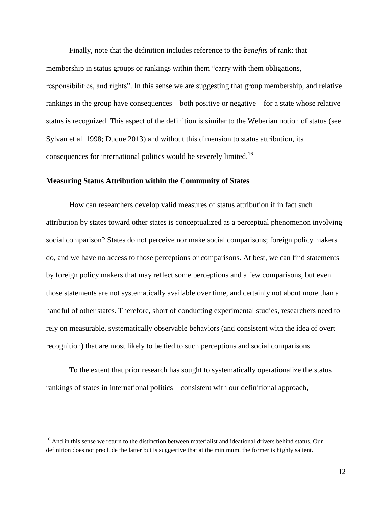Finally, note that the definition includes reference to the *benefits* of rank: that membership in status groups or rankings within them "carry with them obligations, responsibilities, and rights". In this sense we are suggesting that group membership, and relative rankings in the group have consequences—both positive or negative—for a state whose relative status is recognized. This aspect of the definition is similar to the Weberian notion of status (see Sylvan et al. 1998; Duque 2013) and without this dimension to status attribution, its consequences for international politics would be severely limited.<sup>16</sup>

#### **Measuring Status Attribution within the Community of States**

How can researchers develop valid measures of status attribution if in fact such attribution by states toward other states is conceptualized as a perceptual phenomenon involving social comparison? States do not perceive nor make social comparisons; foreign policy makers do, and we have no access to those perceptions or comparisons. At best, we can find statements by foreign policy makers that may reflect some perceptions and a few comparisons, but even those statements are not systematically available over time, and certainly not about more than a handful of other states. Therefore, short of conducting experimental studies, researchers need to rely on measurable, systematically observable behaviors (and consistent with the idea of overt recognition) that are most likely to be tied to such perceptions and social comparisons.

To the extent that prior research has sought to systematically operationalize the status rankings of states in international politics—consistent with our definitional approach,

<sup>&</sup>lt;sup>16</sup> And in this sense we return to the distinction between materialist and ideational drivers behind status. Our definition does not preclude the latter but is suggestive that at the minimum, the former is highly salient.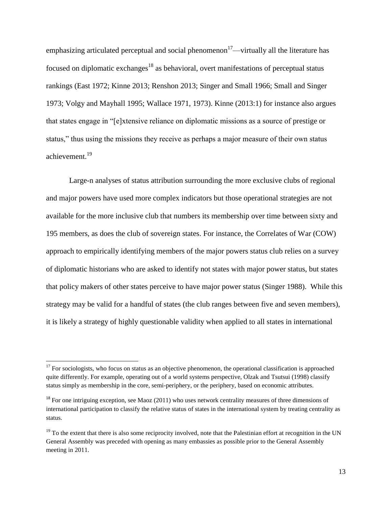emphasizing articulated perceptual and social phenomenon<sup>17</sup>—virtually all the literature has focused on diplomatic exchanges<sup>18</sup> as behavioral, overt manifestations of perceptual status rankings (East 1972; Kinne 2013; Renshon 2013; Singer and Small 1966; Small and Singer 1973; Volgy and Mayhall 1995; Wallace 1971, 1973). Kinne (2013:1) for instance also argues that states engage in "[e]xtensive reliance on diplomatic missions as a source of prestige or status," thus using the missions they receive as perhaps a major measure of their own status achievement.<sup>19</sup>

Large-n analyses of status attribution surrounding the more exclusive clubs of regional and major powers have used more complex indicators but those operational strategies are not available for the more inclusive club that numbers its membership over time between sixty and 195 members, as does the club of sovereign states. For instance, the Correlates of War (COW) approach to empirically identifying members of the major powers status club relies on a survey of diplomatic historians who are asked to identify not states with major power status, but states that policy makers of other states perceive to have major power status (Singer 1988). While this strategy may be valid for a handful of states (the club ranges between five and seven members), it is likely a strategy of highly questionable validity when applied to all states in international

 $17$  For sociologists, who focus on status as an objective phenomenon, the operational classification is approached quite differently. For example, operating out of a world systems perspective, Olzak and Tsutsui (1998) classify status simply as membership in the core, semi-periphery, or the periphery, based on economic attributes.

 $^{18}$  For one intriguing exception, see Maoz (2011) who uses network centrality measures of three dimensions of international participation to classify the relative status of states in the international system by treating centrality as status.

 $19$  To the extent that there is also some reciprocity involved, note that the Palestinian effort at recognition in the UN General Assembly was preceded with opening as many embassies as possible prior to the General Assembly meeting in 2011.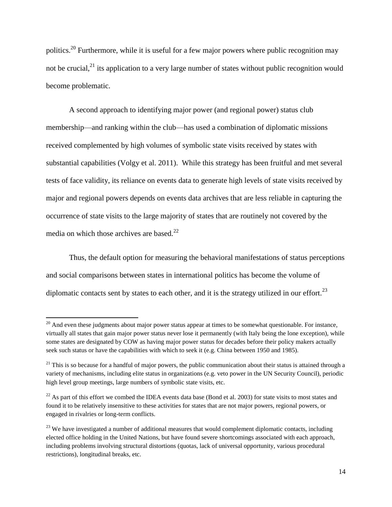politics.<sup>20</sup> Furthermore, while it is useful for a few major powers where public recognition may not be crucial, $^{21}$  its application to a very large number of states without public recognition would become problematic.

A second approach to identifying major power (and regional power) status club membership—and ranking within the club—has used a combination of diplomatic missions received complemented by high volumes of symbolic state visits received by states with substantial capabilities (Volgy et al. 2011). While this strategy has been fruitful and met several tests of face validity, its reliance on events data to generate high levels of state visits received by major and regional powers depends on events data archives that are less reliable in capturing the occurrence of state visits to the large majority of states that are routinely not covered by the media on which those archives are based. $^{22}$ 

Thus, the default option for measuring the behavioral manifestations of status perceptions and social comparisons between states in international politics has become the volume of diplomatic contacts sent by states to each other, and it is the strategy utilized in our effort.<sup>23</sup>

 $20$  And even these judgments about major power status appear at times to be somewhat questionable. For instance, virtually all states that gain major power status never lose it permanently (with Italy being the lone exception), while some states are designated by COW as having major power status for decades before their policy makers actually seek such status or have the capabilities with which to seek it (e.g. China between 1950 and 1985).

 $21$  This is so because for a handful of major powers, the public communication about their status is attained through a variety of mechanisms, including elite status in organizations (e.g. veto power in the UN Security Council), periodic high level group meetings, large numbers of symbolic state visits, etc.

 $^{22}$  As part of this effort we combed the IDEA events data base (Bond et al. 2003) for state visits to most states and found it to be relatively insensitive to these activities for states that are not major powers, regional powers, or engaged in rivalries or long-term conflicts.

<sup>&</sup>lt;sup>23</sup> We have investigated a number of additional measures that would complement diplomatic contacts, including elected office holding in the United Nations, but have found severe shortcomings associated with each approach, including problems involving structural distortions (quotas, lack of universal opportunity, various procedural restrictions), longitudinal breaks, etc.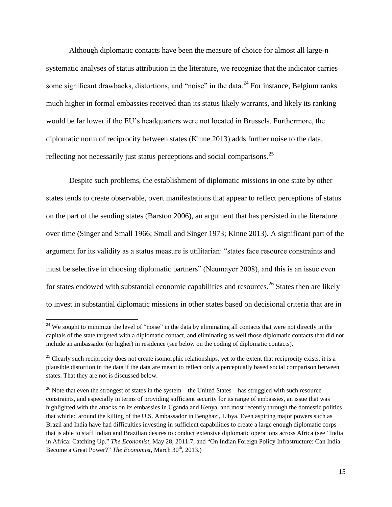Although diplomatic contacts have been the measure of choice for almost all large-n systematic analyses of status attribution in the literature, we recognize that the indicator carries some significant drawbacks, distortions, and "noise" in the data.<sup>24</sup> For instance, Belgium ranks much higher in formal embassies received than its status likely warrants, and likely its ranking would be far lower if the EU's headquarters were not located in Brussels. Furthermore, the diplomatic norm of reciprocity between states (Kinne 2013) adds further noise to the data, reflecting not necessarily just status perceptions and social comparisons.<sup>25</sup>

Despite such problems, the establishment of diplomatic missions in one state by other states tends to create observable, overt manifestations that appear to reflect perceptions of status on the part of the sending states (Barston 2006), an argument that has persisted in the literature over time (Singer and Small 1966; Small and Singer 1973; Kinne 2013). A significant part of the argument for its validity as a status measure is utilitarian: "states face resource constraints and must be selective in choosing diplomatic partners" (Neumayer 2008), and this is an issue even for states endowed with substantial economic capabilities and resources.<sup>26</sup> States then are likely to invest in substantial diplomatic missions in other states based on decisional criteria that are in

 $24$  We sought to minimize the level of "noise" in the data by eliminating all contacts that were not directly in the capitals of the state targeted with a diplomatic contact, and eliminating as well those diplomatic contacts that did not include an ambassador (or higher) in residence (see below on the coding of diplomatic contacts).

<sup>&</sup>lt;sup>25</sup> Clearly such reciprocity does not create isomorphic relationships, yet to the extent that reciprocity exists, it is a plausible distortion in the data if the data are meant to reflect only a perceptually based social comparison between states. That they are not is discussed below.

 $26$  Note that even the strongest of states in the system—the United States—has struggled with such resource constraints, and especially in terms of providing sufficient security for its range of embassies, an issue that was highlighted with the attacks on its embassies in Uganda and Kenya, and most recently through the domestic politics that whirled around the killing of the U.S. Ambassador in Benghazi, Libya. Even aspiring major powers such as Brazil and India have had difficulties investing in sufficient capabilities to create a large enough diplomatic corps that is able to staff Indian and Brazilian desires to conduct extensive diplomatic operations across Africa (see "India in Africa: Catching Up." *The Economist*, May 28, 2011:7; and "On Indian Foreign Policy Infrastructure: Can India Become a Great Power?" *The Economist*, March 30<sup>th</sup>, 2013.)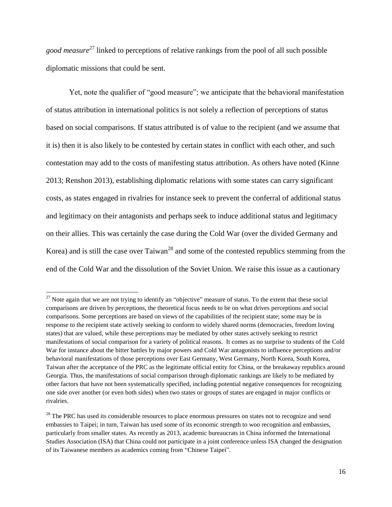*good measure*<sup>27</sup> linked to perceptions of relative rankings from the pool of all such possible diplomatic missions that could be sent.

Yet, note the qualifier of "good measure"; we anticipate that the behavioral manifestation of status attribution in international politics is not solely a reflection of perceptions of status based on social comparisons. If status attributed is of value to the recipient (and we assume that it is) then it is also likely to be contested by certain states in conflict with each other, and such contestation may add to the costs of manifesting status attribution. As others have noted (Kinne 2013; Renshon 2013), establishing diplomatic relations with some states can carry significant costs, as states engaged in rivalries for instance seek to prevent the conferral of additional status and legitimacy on their antagonists and perhaps seek to induce additional status and legitimacy on their allies. This was certainly the case during the Cold War (over the divided Germany and Korea) and is still the case over  $T$ aiwan<sup>28</sup> and some of the contested republics stemming from the end of the Cold War and the dissolution of the Soviet Union. We raise this issue as a cautionary

<sup>&</sup>lt;sup>27</sup> Note again that we are not trying to identify an "objective" measure of status. To the extent that these social comparisons are driven by perceptions, the theoretical focus needs to be on what drives perceptions and social comparisons. Some perceptions are based on views of the capabilities of the recipient state; some may be in response to the recipient state actively seeking to conform to widely shared norms (democracies, freedom loving states) that are valued, while these perceptions may be mediated by other states actively seeking to restrict manifestations of social comparison for a variety of political reasons. It comes as no surprise to students of the Cold War for instance about the bitter battles by major powers and Cold War antagonists to influence perceptions and/or behavioral manifestations of those perceptions over East Germany, West Germany, North Korea, South Korea, Taiwan after the acceptance of the PRC as the legitimate official entity for China, or the breakaway republics around Georgia. Thus, the manifestations of social comparison through diplomatic rankings are likely to be mediated by other factors that have not been systematically specified, including potential negative consequences for recognizing one side over another (or even both sides) when two states or groups of states are engaged in major conflicts or rivalries.

<sup>&</sup>lt;sup>28</sup> The PRC has used its considerable resources to place enormous pressures on states not to recognize and send embassies to Taipei; in turn, Taiwan has used some of its economic strength to woo recognition and embassies, particularly from smaller states. As recently as 2013, academic bureaucrats in China informed the International Studies Association (ISA) that China could not participate in a joint conference unless ISA changed the designation of its Taiwanese members as academics coming from "Chinese Taipei".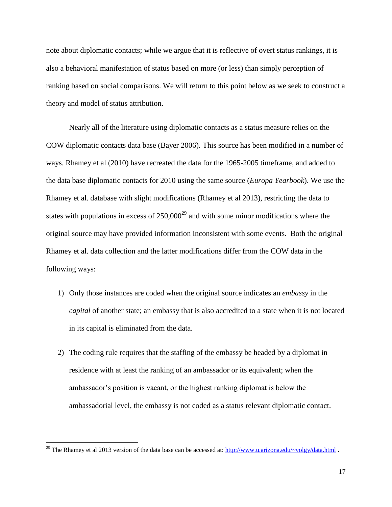note about diplomatic contacts; while we argue that it is reflective of overt status rankings, it is also a behavioral manifestation of status based on more (or less) than simply perception of ranking based on social comparisons. We will return to this point below as we seek to construct a theory and model of status attribution.

Nearly all of the literature using diplomatic contacts as a status measure relies on the COW diplomatic contacts data base (Bayer 2006). This source has been modified in a number of ways. Rhamey et al (2010) have recreated the data for the 1965-2005 timeframe, and added to the data base diplomatic contacts for 2010 using the same source (*Europa Yearbook*). We use the Rhamey et al. database with slight modifications (Rhamey et al 2013), restricting the data to states with populations in excess of  $250,000^{29}$  and with some minor modifications where the original source may have provided information inconsistent with some events. Both the original Rhamey et al. data collection and the latter modifications differ from the COW data in the following ways:

- 1) Only those instances are coded when the original source indicates an *embassy* in the *capital* of another state; an embassy that is also accredited to a state when it is not located in its capital is eliminated from the data.
- 2) The coding rule requires that the staffing of the embassy be headed by a diplomat in residence with at least the ranking of an ambassador or its equivalent; when the ambassador's position is vacant, or the highest ranking diplomat is below the ambassadorial level, the embassy is not coded as a status relevant diplomatic contact.

<sup>&</sup>lt;sup>29</sup> The Rhamey et al 2013 version of the data base can be accessed at:  $\frac{http://www.u.arizona.edu/~volgy/data.html}{http://www.u.arizona.edu/~volgy/data.html}$ .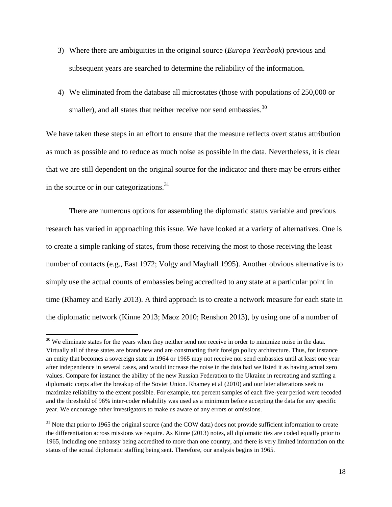- 3) Where there are ambiguities in the original source (*Europa Yearbook*) previous and subsequent years are searched to determine the reliability of the information.
- 4) We eliminated from the database all microstates (those with populations of 250,000 or smaller), and all states that neither receive nor send embassies.  $30$

We have taken these steps in an effort to ensure that the measure reflects overt status attribution as much as possible and to reduce as much noise as possible in the data. Nevertheless, it is clear that we are still dependent on the original source for the indicator and there may be errors either in the source or in our categorizations. $31$ 

There are numerous options for assembling the diplomatic status variable and previous research has varied in approaching this issue. We have looked at a variety of alternatives. One is to create a simple ranking of states, from those receiving the most to those receiving the least number of contacts (e.g., East 1972; Volgy and Mayhall 1995). Another obvious alternative is to simply use the actual counts of embassies being accredited to any state at a particular point in time (Rhamey and Early 2013). A third approach is to create a network measure for each state in the diplomatic network (Kinne 2013; Maoz 2010; Renshon 2013), by using one of a number of

 $30$  We eliminate states for the years when they neither send nor receive in order to minimize noise in the data. Virtually all of these states are brand new and are constructing their foreign policy architecture. Thus, for instance an entity that becomes a sovereign state in 1964 or 1965 may not receive nor send embassies until at least one year after independence in several cases, and would increase the noise in the data had we listed it as having actual zero values. Compare for instance the ability of the new Russian Federation to the Ukraine in recreating and staffing a diplomatic corps after the breakup of the Soviet Union. Rhamey et al (2010) and our later alterations seek to maximize reliability to the extent possible. For example, ten percent samples of each five-year period were recoded and the threshold of 96% inter-coder reliability was used as a minimum before accepting the data for any specific year. We encourage other investigators to make us aware of any errors or omissions.

 $31$  Note that prior to 1965 the original source (and the COW data) does not provide sufficient information to create the differentiation across missions we require. As Kinne (2013) notes, all diplomatic ties are coded equally prior to 1965, including one embassy being accredited to more than one country, and there is very limited information on the status of the actual diplomatic staffing being sent. Therefore, our analysis begins in 1965.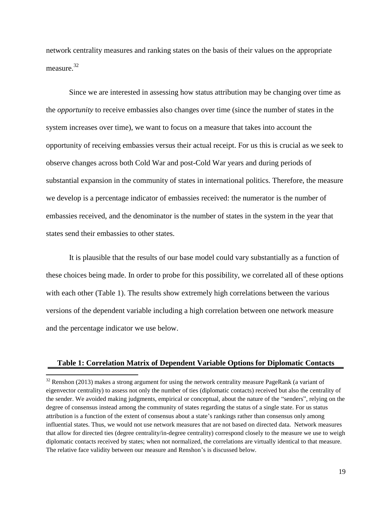network centrality measures and ranking states on the basis of their values on the appropriate measure.<sup>32</sup>

Since we are interested in assessing how status attribution may be changing over time as the *opportunity* to receive embassies also changes over time (since the number of states in the system increases over time), we want to focus on a measure that takes into account the opportunity of receiving embassies versus their actual receipt. For us this is crucial as we seek to observe changes across both Cold War and post-Cold War years and during periods of substantial expansion in the community of states in international politics. Therefore, the measure we develop is a percentage indicator of embassies received: the numerator is the number of embassies received, and the denominator is the number of states in the system in the year that states send their embassies to other states.

It is plausible that the results of our base model could vary substantially as a function of these choices being made. In order to probe for this possibility, we correlated all of these options with each other (Table 1). The results show extremely high correlations between the various versions of the dependent variable including a high correlation between one network measure and the percentage indicator we use below.

#### **Table 1: Correlation Matrix of Dependent Variable Options for Diplomatic Contacts**

 $32$  Renshon (2013) makes a strong argument for using the network centrality measure PageRank (a variant of eigenvector centrality) to assess not only the number of ties (diplomatic contacts) received but also the centrality of the sender. We avoided making judgments, empirical or conceptual, about the nature of the "senders", relying on the degree of consensus instead among the community of states regarding the status of a single state. For us status attribution is a function of the extent of consensus about a state's rankings rather than consensus only among influential states. Thus, we would not use network measures that are not based on directed data. Network measures that allow for directed ties (degree centrality/in-degree centrality) correspond closely to the measure we use to weigh diplomatic contacts received by states; when not normalized, the correlations are virtually identical to that measure. The relative face validity between our measure and Renshon's is discussed below.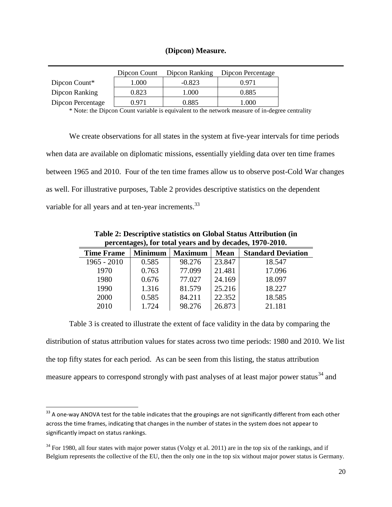### **(Dipcon) Measure.**

|                   | Dipcon Count | Dipcon Ranking | Dipcon Percentage |
|-------------------|--------------|----------------|-------------------|
| Dipcon Count*     | 1.000        | $-0.823$       | በ 971             |
| Dipcon Ranking    | 0.823        | 1.000          | 0.885             |
| Dipcon Percentage | በ 971        | 0.885          | 1.000             |

\* Note: the Dipcon Count variable is equivalent to the network measure of in-degree centrality

We create observations for all states in the system at five-year intervals for time periods when data are available on diplomatic missions, essentially yielding data over ten time frames between 1965 and 2010. Four of the ten time frames allow us to observe post-Cold War changes as well. For illustrative purposes, Table 2 provides descriptive statistics on the dependent variable for all years and at ten-year increments.<sup>33</sup>

| percentages), for total years and by decades, 1970-2010. |                |                |             |                           |  |  |  |  |  |
|----------------------------------------------------------|----------------|----------------|-------------|---------------------------|--|--|--|--|--|
| <b>Time Frame</b>                                        | <b>Minimum</b> | <b>Maximum</b> | <b>Mean</b> | <b>Standard Deviation</b> |  |  |  |  |  |
| $1965 - 2010$                                            | 0.585          | 98.276         | 23.847      | 18.547                    |  |  |  |  |  |
| 1970                                                     | 0.763          | 77.099         | 21.481      | 17.096                    |  |  |  |  |  |
| 1980                                                     | 0.676          | 77.027         | 24.169      | 18.097                    |  |  |  |  |  |
| 1990                                                     | 1.316          | 81.579         | 25.216      | 18.227                    |  |  |  |  |  |
| 2000                                                     | 0.585          | 84.211         | 22.352      | 18.585                    |  |  |  |  |  |
| 2010                                                     | 1.724          | 98.276         | 26.873      | 21.181                    |  |  |  |  |  |

**Table 2: Descriptive statistics on Global Status Attribution (in** 

Table 3 is created to illustrate the extent of face validity in the data by comparing the distribution of status attribution values for states across two time periods: 1980 and 2010. We list the top fifty states for each period. As can be seen from this listing, the status attribution measure appears to correspond strongly with past analyses of at least major power status<sup>34</sup> and

 $33$  A one-way ANOVA test for the table indicates that the groupings are not significantly different from each other across the time frames, indicating that changes in the number of states in the system does not appear to significantly impact on status rankings.

 $34$  For 1980, all four states with major power status (Volgy et al. 2011) are in the top six of the rankings, and if Belgium represents the collective of the EU, then the only one in the top six without major power status is Germany.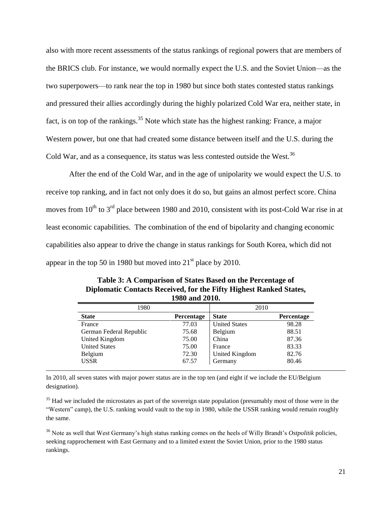also with more recent assessments of the status rankings of regional powers that are members of the BRICS club. For instance, we would normally expect the U.S. and the Soviet Union—as the two superpowers—to rank near the top in 1980 but since both states contested status rankings and pressured their allies accordingly during the highly polarized Cold War era, neither state, in fact, is on top of the rankings.<sup>35</sup> Note which state has the highest ranking: France, a major Western power, but one that had created some distance between itself and the U.S. during the Cold War, and as a consequence, its status was less contested outside the West. $36$ 

After the end of the Cold War, and in the age of unipolarity we would expect the U.S. to receive top ranking, and in fact not only does it do so, but gains an almost perfect score. China moves from  $10^{th}$  to  $3^{rd}$  place between 1980 and 2010, consistent with its post-Cold War rise in at least economic capabilities. The combination of the end of bipolarity and changing economic capabilities also appear to drive the change in status rankings for South Korea, which did not appear in the top 50 in 1980 but moved into  $21<sup>st</sup>$  place by 2010.

| 1980                    |            | 2010                 |            |
|-------------------------|------------|----------------------|------------|
| <b>State</b>            | Percentage | <b>State</b>         | Percentage |
| France                  | 77.03      | <b>United States</b> | 98.28      |
| German Federal Republic | 75.68      | Belgium              | 88.51      |
| United Kingdom          | 75.00      | China                | 87.36      |
| <b>United States</b>    | 75.00      | France               | 83.33      |
| Belgium                 | 72.30      | United Kingdom       | 82.76      |
| <b>USSR</b>             | 67.57      | Germany              | 80.46      |

**Table 3: A Comparison of States Based on the Percentage of Diplomatic Contacts Received, for the Fifty Highest Ranked States, 1980 and 2010.**

In 2010, all seven states with major power status are in the top ten (and eight if we include the EU/Belgium designation).

l

 $35$  Had we included the microstates as part of the sovereign state population (presumably most of those were in the "Western" camp), the U.S. ranking would vault to the top in 1980, while the USSR ranking would remain roughly the same.

<sup>36</sup> Note as well that West Germany's high status ranking comes on the heels of Willy Brandt's *Ostpolitik* policies, seeking rapprochement with East Germany and to a limited extent the Soviet Union, prior to the 1980 status rankings.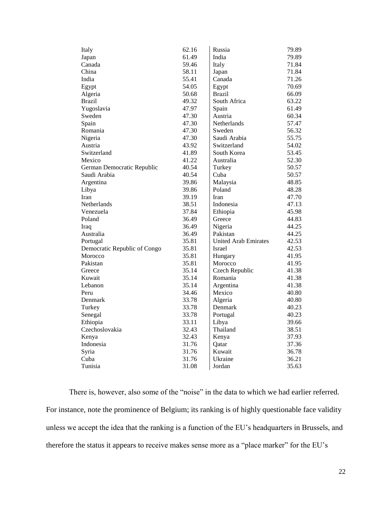| Italy                        | 62.16 | Russia                      | 79.89 |
|------------------------------|-------|-----------------------------|-------|
| Japan                        | 61.49 | India                       | 79.89 |
| Canada                       | 59.46 | Italy                       | 71.84 |
| China                        | 58.11 | Japan                       | 71.84 |
| India                        | 55.41 | Canada                      | 71.26 |
| Egypt                        | 54.05 | Egypt                       | 70.69 |
| Algeria                      | 50.68 | <b>Brazil</b>               | 66.09 |
| <b>Brazil</b>                | 49.32 | South Africa                | 63.22 |
| Yugoslavia                   | 47.97 | Spain                       | 61.49 |
| Sweden                       | 47.30 | Austria                     | 60.34 |
| Spain                        | 47.30 | Netherlands                 | 57.47 |
| Romania                      | 47.30 | Sweden                      | 56.32 |
| Nigeria                      | 47.30 | Saudi Arabia                | 55.75 |
| Austria                      | 43.92 | Switzerland                 | 54.02 |
| Switzerland                  | 41.89 | South Korea                 | 53.45 |
| Mexico                       | 41.22 | Australia                   | 52.30 |
| German Democratic Republic   | 40.54 | Turkey                      | 50.57 |
| Saudi Arabia                 | 40.54 | Cuba                        | 50.57 |
| Argentina                    | 39.86 | Malaysia                    | 48.85 |
| Libya                        | 39.86 | Poland                      | 48.28 |
| Iran                         | 39.19 | Iran                        | 47.70 |
| Netherlands                  | 38.51 | Indonesia                   | 47.13 |
| Venezuela                    | 37.84 | Ethiopia                    | 45.98 |
| Poland                       | 36.49 | Greece                      | 44.83 |
| Iraq                         | 36.49 | Nigeria                     | 44.25 |
| Australia                    | 36.49 | Pakistan                    | 44.25 |
| Portugal                     | 35.81 | <b>United Arab Emirates</b> | 42.53 |
| Democratic Republic of Congo | 35.81 | Israel                      | 42.53 |
| Morocco                      | 35.81 | Hungary                     | 41.95 |
| Pakistan                     | 35.81 | Morocco                     | 41.95 |
| Greece                       | 35.14 | Czech Republic              | 41.38 |
| Kuwait                       | 35.14 | Romania                     | 41.38 |
| Lebanon                      | 35.14 | Argentina                   | 41.38 |
| Peru                         | 34.46 | Mexico                      | 40.80 |
| Denmark                      | 33.78 | Algeria                     | 40.80 |
| Turkey                       | 33.78 | Denmark                     | 40.23 |
| Senegal                      | 33.78 | Portugal                    | 40.23 |
| Ethiopia                     | 33.11 | Libya                       | 39.66 |
| Czechoslovakia               | 32.43 | Thailand                    | 38.51 |
| Kenya                        | 32.43 | Kenya                       | 37.93 |
| Indonesia                    | 31.76 | Qatar                       | 37.36 |
| Syria                        | 31.76 | Kuwait                      | 36.78 |
| Cuba                         | 31.76 | Ukraine                     | 36.21 |
| Tunisia                      | 31.08 | Jordan                      | 35.63 |

There is, however, also some of the "noise" in the data to which we had earlier referred. For instance, note the prominence of Belgium; its ranking is of highly questionable face validity unless we accept the idea that the ranking is a function of the EU's headquarters in Brussels, and therefore the status it appears to receive makes sense more as a "place marker" for the EU's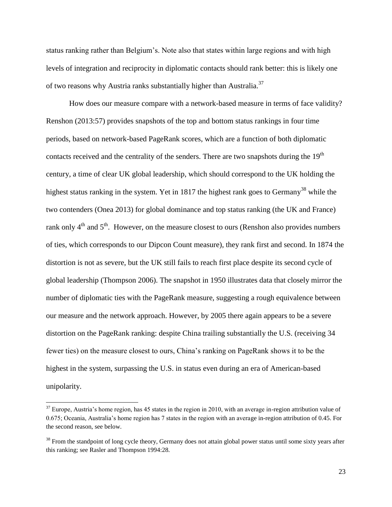status ranking rather than Belgium's. Note also that states within large regions and with high levels of integration and reciprocity in diplomatic contacts should rank better: this is likely one of two reasons why Austria ranks substantially higher than Australia.<sup>37</sup>

How does our measure compare with a network-based measure in terms of face validity? Renshon (2013:57) provides snapshots of the top and bottom status rankings in four time periods, based on network-based PageRank scores, which are a function of both diplomatic contacts received and the centrality of the senders. There are two snapshots during the 19<sup>th</sup> century, a time of clear UK global leadership, which should correspond to the UK holding the highest status ranking in the system. Yet in 1817 the highest rank goes to Germany<sup>38</sup> while the two contenders (Onea 2013) for global dominance and top status ranking (the UK and France) rank only  $4<sup>th</sup>$  and  $5<sup>th</sup>$ . However, on the measure closest to ours (Renshon also provides numbers of ties, which corresponds to our Dipcon Count measure), they rank first and second. In 1874 the distortion is not as severe, but the UK still fails to reach first place despite its second cycle of global leadership (Thompson 2006). The snapshot in 1950 illustrates data that closely mirror the number of diplomatic ties with the PageRank measure, suggesting a rough equivalence between our measure and the network approach. However, by 2005 there again appears to be a severe distortion on the PageRank ranking: despite China trailing substantially the U.S. (receiving 34 fewer ties) on the measure closest to ours, China's ranking on PageRank shows it to be the highest in the system, surpassing the U.S. in status even during an era of American-based unipolarity.

 $37$  Europe, Austria's home region, has 45 states in the region in 2010, with an average in-region attribution value of 0.675; Oceania, Australia's home region has 7 states in the region with an average in-region attribution of 0.45. For the second reason, see below.

 $38$  From the standpoint of long cycle theory, Germany does not attain global power status until some sixty years after this ranking; see Rasler and Thompson 1994:28.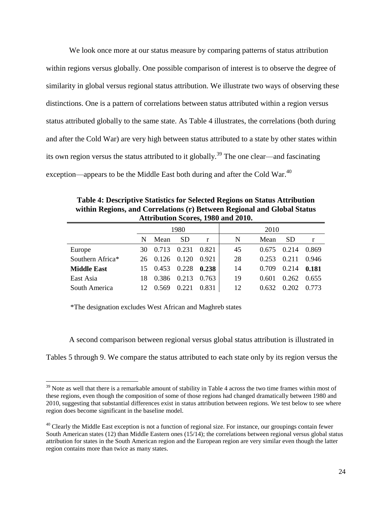We look once more at our status measure by comparing patterns of status attribution within regions versus globally. One possible comparison of interest is to observe the degree of similarity in global versus regional status attribution. We illustrate two ways of observing these distinctions. One is a pattern of correlations between status attributed within a region versus status attributed globally to the same state. As Table 4 illustrates, the correlations (both during and after the Cold War) are very high between status attributed to a state by other states within its own region versus the status attributed to it globally.<sup>39</sup> The one clear—and fascinating exception—appears to be the Middle East both during and after the Cold War.<sup>40</sup>

**Attribution Scores, 1980 and 2010.** 1980 2010 N Mean SD r | N Mean SD r Europe 30 0.713 0.231 0.821 45 0.675 0.214 0.869 Southern Africa\* 26 0.126 0.120 0.921 28 0.253 0.211 0.946 **Middle East** 15 0.453 0.228 **0.238** 14 0.709 0.214 **0.181** East Asia 18 0.386 0.213 0.763 19 0.601 0.262 0.655 South America 12 0.569 0.221 0.831 12 0.632 0.202 0.773

**Table 4: Descriptive Statistics for Selected Regions on Status Attribution within Regions, and Correlations (r) Between Regional and Global Status** 

\*The designation excludes West African and Maghreb states

 $\overline{\phantom{a}}$ 

A second comparison between regional versus global status attribution is illustrated in

Tables 5 through 9. We compare the status attributed to each state only by its region versus the

 $39$  Note as well that there is a remarkable amount of stability in Table 4 across the two time frames within most of these regions, even though the composition of some of those regions had changed dramatically between 1980 and 2010, suggesting that substantial differences exist in status attribution between regions. We test below to see where region does become significant in the baseline model.

<sup>&</sup>lt;sup>40</sup> Clearly the Middle East exception is not a function of regional size. For instance, our groupings contain fewer South American states (12) than Middle Eastern ones (15/14); the correlations between regional versus global status attribution for states in the South American region and the European region are very similar even though the latter region contains more than twice as many states.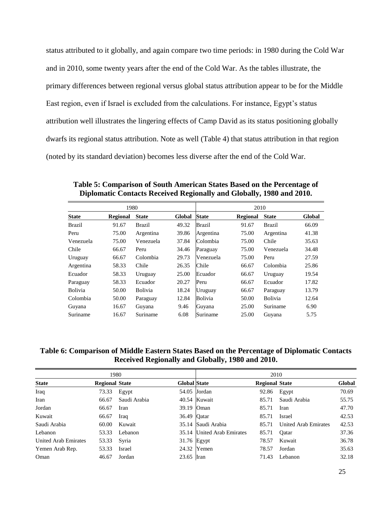status attributed to it globally, and again compare two time periods: in 1980 during the Cold War and in 2010, some twenty years after the end of the Cold War. As the tables illustrate, the primary differences between regional versus global status attribution appear to be for the Middle East region, even if Israel is excluded from the calculations. For instance, Egypt's status attribution well illustrates the lingering effects of Camp David as its status positioning globally dwarfs its regional status attribution. Note as well (Table 4) that status attribution in that region (noted by its standard deviation) becomes less diverse after the end of the Cold War.

|                | 1980            |                |        |              | 2010            |                |        |  |  |
|----------------|-----------------|----------------|--------|--------------|-----------------|----------------|--------|--|--|
| <b>State</b>   | <b>Regional</b> | <b>State</b>   | Global | <b>State</b> | <b>Regional</b> | <b>State</b>   | Global |  |  |
| Brazil         | 91.67           | <b>Brazil</b>  | 49.32  | Brazil       | 91.67           | Brazil         | 66.09  |  |  |
| Peru           | 75.00           | Argentina      | 39.86  | Argentina    | 75.00           | Argentina      | 41.38  |  |  |
| Venezuela      | 75.00           | Venezuela      | 37.84  | Colombia     | 75.00           | Chile          | 35.63  |  |  |
| Chile          | 66.67           | Peru           | 34.46  | Paraguay     | 75.00           | Venezuela      | 34.48  |  |  |
| Uruguay        | 66.67           | Colombia       | 29.73  | Venezuela    | 75.00           | Peru           | 27.59  |  |  |
| Argentina      | 58.33           | Chile          | 26.35  | Chile        | 66.67           | Colombia       | 25.86  |  |  |
| Ecuador        | 58.33           | Uruguay        | 25.00  | Ecuador      | 66.67           | Uruguay        | 19.54  |  |  |
| Paraguay       | 58.33           | Ecuador        | 20.27  | Peru         | 66.67           | Ecuador        | 17.82  |  |  |
| <b>Bolivia</b> | 50.00           | <b>Bolivia</b> | 18.24  | Uruguay      | 66.67           | Paraguay       | 13.79  |  |  |
| Colombia       | 50.00           | Paraguay       | 12.84  | Bolivia      | 50.00           | <b>Bolivia</b> | 12.64  |  |  |
| Guyana         | 16.67           | Guyana         | 9.46   | Guyana       | 25.00           | Suriname       | 6.90   |  |  |
| Suriname       | 16.67           | Suriname       | 6.08   | Suriname     | 25.00           | Guvana         | 5.75   |  |  |

**Table 5: Comparison of South American States Based on the Percentage of Diplomatic Contacts Received Regionally and Globally, 1980 and 2010.**

#### **Table 6: Comparison of Middle Eastern States Based on the Percentage of Diplomatic Contacts Received Regionally and Globally, 1980 and 2010.**

|                      | 1980                  |              |                     |                            | 2010                  |                      |        |  |
|----------------------|-----------------------|--------------|---------------------|----------------------------|-----------------------|----------------------|--------|--|
| <b>State</b>         | <b>Regional State</b> |              | <b>Global State</b> |                            | <b>Regional State</b> |                      | Global |  |
| Iraq                 | 73.33                 | Egypt        |                     | 54.05 Jordan               | 92.86                 | Egypt                | 70.69  |  |
| Iran                 | 66.67                 | Saudi Arabia |                     | 40.54 Kuwait               | 85.71                 | Saudi Arabia         | 55.75  |  |
| Jordan               | 66.67                 | Iran         | 39.19 Oman          |                            | 85.71                 | Iran                 | 47.70  |  |
| Kuwait               | 66.67                 | Iraq         | 36.49 Qatar         |                            | 85.71                 | Israel               | 42.53  |  |
| Saudi Arabia         | 60.00                 | Kuwait       |                     | 35.14 Saudi Arabia         | 85.71                 | United Arab Emirates | 42.53  |  |
| Lebanon              | 53.33                 | Lebanon      |                     | 35.14 United Arab Emirates | 85.71                 | Oatar                | 37.36  |  |
| United Arab Emirates | 53.33                 | Syria        | 31.76 Egypt         |                            | 78.57                 | Kuwait               | 36.78  |  |
| Yemen Arab Rep.      | 53.33                 | Israel       |                     | 24.32 Yemen                | 78.57                 | Jordan               | 35.63  |  |
| Oman                 | 46.67                 | Jordan       | 23.65 Iran          |                            | 71.43                 | Lebanon              | 32.18  |  |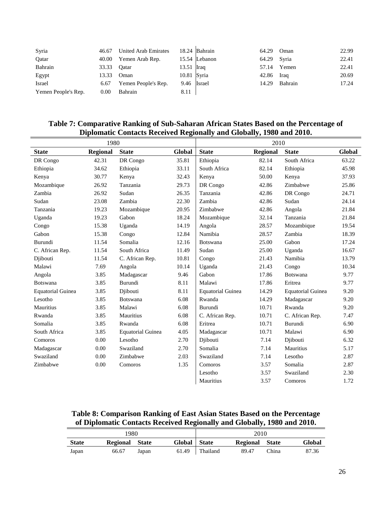| Syria               | 46.67       | United Arab Emirates |              | 18.24 Bahrain | 64.29       | Oman    | 22.99 |
|---------------------|-------------|----------------------|--------------|---------------|-------------|---------|-------|
| Qatar               | 40.00       | Yemen Arab Rep.      |              | 15.54 Lebanon | 64.29 Syria |         | 22.41 |
| Bahrain             | 33.33 Qatar |                      | $13.51$ Iraq |               | 57.14       | Yemen   | 22.41 |
| Egypt               | 13.33       | Oman                 | 10.81 Syria  |               | 42.86       | Iraq    | 20.69 |
| Israel              | 6.67        | Yemen People's Rep.  | 9.46 Israel  |               | 14.29       | Bahrain | 17.24 |
| Yemen People's Rep. | 0.00        | Bahrain              | 8.11         |               |             |         |       |

### **Table 7: Comparative Ranking of Sub-Saharan African States Based on the Percentage of Diplomatic Contacts Received Regionally and Globally, 1980 and 2010.**

|                          | 1980            |                          |        |                          | 2010            |                          |        |
|--------------------------|-----------------|--------------------------|--------|--------------------------|-----------------|--------------------------|--------|
| <b>State</b>             | <b>Regional</b> | <b>State</b>             | Global | <b>State</b>             | <b>Regional</b> | <b>State</b>             | Global |
| DR Congo                 | 42.31           | DR Congo                 | 35.81  | Ethiopia                 | 82.14           | South Africa             | 63.22  |
| Ethiopia                 | 34.62           | Ethiopia                 | 33.11  | South Africa             | 82.14           | Ethiopia                 | 45.98  |
| Kenya                    | 30.77           | Kenya                    | 32.43  | Kenya                    | 50.00           | Kenya                    | 37.93  |
| Mozambique               | 26.92           | Tanzania                 | 29.73  | DR Congo                 | 42.86           | Zimbabwe                 | 25.86  |
| Zambia                   | 26.92           | Sudan                    | 26.35  | Tanzania                 | 42.86           | DR Congo                 | 24.71  |
| Sudan                    | 23.08           | Zambia                   | 22.30  | Zambia                   | 42.86           | Sudan                    | 24.14  |
| Tanzania                 | 19.23           | Mozambique               | 20.95  | Zimbabwe                 | 42.86           | Angola                   | 21.84  |
| Uganda                   | 19.23           | Gabon                    | 18.24  | Mozambique               | 32.14           | Tanzania                 | 21.84  |
| Congo                    | 15.38           | Uganda                   | 14.19  | Angola                   | 28.57           | Mozambique               | 19.54  |
| Gabon                    | 15.38           | Congo                    | 12.84  | Namibia                  | 28.57           | Zambia                   | 18.39  |
| Burundi                  | 11.54           | Somalia                  | 12.16  | Botswana                 | 25.00           | Gabon                    | 17.24  |
| C. African Rep.          | 11.54           | South Africa             | 11.49  | Sudan                    | 25.00           | Uganda                   | 16.67  |
| Djibouti                 | 11.54           | C. African Rep.          | 10.81  | Congo                    | 21.43           | Namibia                  | 13.79  |
| Malawi                   | 7.69            | Angola                   | 10.14  | Uganda                   | 21.43           | Congo                    | 10.34  |
| Angola                   | 3.85            | Madagascar               | 9.46   | Gabon                    | 17.86           | Botswana                 | 9.77   |
| <b>Botswana</b>          | 3.85            | Burundi                  | 8.11   | Malawi                   | 17.86           | Eritrea                  | 9.77   |
| <b>Equatorial Guinea</b> | 3.85            | Diibouti                 | 8.11   | <b>Equatorial Guinea</b> | 14.29           | <b>Equatorial Guinea</b> | 9.20   |
| Lesotho                  | 3.85            | Botswana                 | 6.08   | Rwanda                   | 14.29           | Madagascar               | 9.20   |
| Mauritius                | 3.85            | Malawi                   | 6.08   | Burundi                  | 10.71           | Rwanda                   | 9.20   |
| Rwanda                   | 3.85            | Mauritius                | 6.08   | C. African Rep.          | 10.71           | C. African Rep.          | 7.47   |
| Somalia                  | 3.85            | Rwanda                   | 6.08   | Eritrea                  | 10.71           | Burundi                  | 6.90   |
| South Africa             | 3.85            | <b>Equatorial Guinea</b> | 4.05   | Madagascar               | 10.71           | Malawi                   | 6.90   |
| Comoros                  | 0.00            | Lesotho                  | 2.70   | Djibouti                 | 7.14            | Djibouti                 | 6.32   |
| Madagascar               | 0.00            | Swaziland                | 2.70   | Somalia                  | 7.14            | Mauritius                | 5.17   |
| Swaziland                | 0.00            | Zimbabwe                 | 2.03   | Swaziland                | 7.14            | Lesotho                  | 2.87   |
| Zimbabwe                 | 0.00            | Comoros                  | 1.35   | Comoros                  | 3.57            | Somalia                  | 2.87   |
|                          |                 |                          |        | Lesotho                  | 3.57            | Swaziland                | 2.30   |
|                          |                 |                          |        | Mauritius                | 3.57            | Comoros                  | 1.72   |

**Table 8: Comparison Ranking of East Asian States Based on the Percentage of Diplomatic Contacts Received Regionally and Globally, 1980 and 2010.**

| 1980         |                 |       |              |          | 2010            |              |        |
|--------------|-----------------|-------|--------------|----------|-----------------|--------------|--------|
| <b>State</b> | <b>Regional</b> | State | Global State |          | <b>Regional</b> | <b>State</b> | Global |
| Japan        | 66.67           | Japan | 61.49        | Thailand | 89.47           | China        | 87.36  |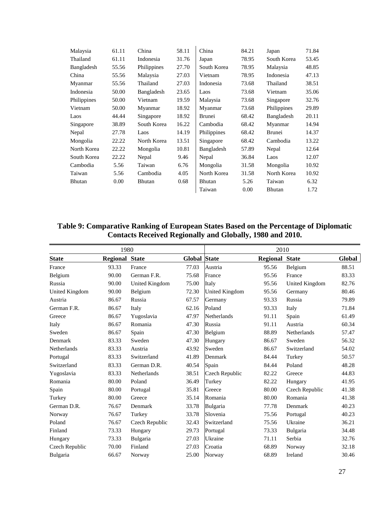| Malaysia    | 61.11 | China       | 58.11 | China       | 84.21 | Japan       | 71.84 |
|-------------|-------|-------------|-------|-------------|-------|-------------|-------|
| Thailand    | 61.11 | Indonesia   | 31.76 | Japan       | 78.95 | South Korea | 53.45 |
| Bangladesh  | 55.56 | Philippines | 27.70 | South Korea | 78.95 | Malaysia    | 48.85 |
| China       | 55.56 | Malaysia    | 27.03 | Vietnam     | 78.95 | Indonesia   | 47.13 |
| Myanmar     | 55.56 | Thailand    | 27.03 | Indonesia   | 73.68 | Thailand    | 38.51 |
| Indonesia   | 50.00 | Bangladesh  | 23.65 | Laos        | 73.68 | Vietnam     | 35.06 |
| Philippines | 50.00 | Vietnam     | 19.59 | Malaysia    | 73.68 | Singapore   | 32.76 |
| Vietnam     | 50.00 | Myanmar     | 18.92 | Myanmar     | 73.68 | Philippines | 29.89 |
| Laos        | 44.44 | Singapore   | 18.92 | Brunei      | 68.42 | Bangladesh  | 20.11 |
| Singapore   | 38.89 | South Korea | 16.22 | Cambodia    | 68.42 | Myanmar     | 14.94 |
| Nepal       | 27.78 | Laos        | 14.19 | Philippines | 68.42 | Brunei      | 14.37 |
| Mongolia    | 22.22 | North Korea | 13.51 | Singapore   | 68.42 | Cambodia    | 13.22 |
| North Korea | 22.22 | Mongolia    | 10.81 | Bangladesh  | 57.89 | Nepal       | 12.64 |
| South Korea | 22.22 | Nepal       | 9.46  | Nepal       | 36.84 | Laos        | 12.07 |
| Cambodia    | 5.56  | Taiwan      | 6.76  | Mongolia    | 31.58 | Mongolia    | 10.92 |
| Taiwan      | 5.56  | Cambodia    | 4.05  | North Korea | 31.58 | North Korea | 10.92 |
| Bhutan      | 0.00  | Bhutan      | 0.68  | Bhutan      | 5.26  | Taiwan      | 6.32  |
|             |       |             |       | Taiwan      | 0.00  | Bhutan      | 1.72  |

### **Table 9: Comparative Ranking of European States Based on the Percentage of Diplomatic Contacts Received Regionally and Globally, 1980 and 2010.**

| 1980            |                       |                 |                     | 2010           |                       |                |        |
|-----------------|-----------------------|-----------------|---------------------|----------------|-----------------------|----------------|--------|
| <b>State</b>    | <b>Regional State</b> |                 | <b>Global State</b> |                | <b>Regional State</b> |                | Global |
| France          | 93.33                 | France          | 77.03               | Austria        | 95.56                 | Belgium        | 88.51  |
| Belgium         | 90.00                 | German F.R.     | 75.68               | France         | 95.56                 | France         | 83.33  |
| Russia          | 90.00                 | United Kingdom  | 75.00               | Italy          | 95.56                 | United Kingdom | 82.76  |
| United Kingdom  | 90.00                 | Belgium         | 72.30               | United Kingdom | 95.56                 | Germany        | 80.46  |
| Austria         | 86.67                 | Russia          | 67.57               | Germany        | 93.33                 | Russia         | 79.89  |
| German F.R.     | 86.67                 | Italy           | 62.16               | Poland         | 93.33                 | Italy          | 71.84  |
| Greece          | 86.67                 | Yugoslavia      | 47.97               | Netherlands    | 91.11                 | Spain          | 61.49  |
| Italy           | 86.67                 | Romania         | 47.30               | Russia         | 91.11                 | Austria        | 60.34  |
| Sweden          | 86.67                 | Spain           | 47.30               | Belgium        | 88.89                 | Netherlands    | 57.47  |
| Denmark         | 83.33                 | Sweden          | 47.30               | Hungary        | 86.67                 | Sweden         | 56.32  |
| Netherlands     | 83.33                 | Austria         | 43.92               | Sweden         | 86.67                 | Switzerland    | 54.02  |
| Portugal        | 83.33                 | Switzerland     | 41.89               | Denmark        | 84.44                 | Turkey         | 50.57  |
| Switzerland     | 83.33                 | German D.R.     | 40.54               | Spain          | 84.44                 | Poland         | 48.28  |
| Yugoslavia      | 83.33                 | Netherlands     | 38.51               | Czech Republic | 82.22                 | Greece         | 44.83  |
| Romania         | 80.00                 | Poland          | 36.49               | Turkey         | 82.22                 | Hungary        | 41.95  |
| Spain           | 80.00                 | Portugal        | 35.81               | Greece         | 80.00                 | Czech Republic | 41.38  |
| Turkey          | 80.00                 | Greece          | 35.14               | Romania        | 80.00                 | Romania        | 41.38  |
| German D.R.     | 76.67                 | Denmark         | 33.78               | Bulgaria       | 77.78                 | Denmark        | 40.23  |
| Norway          | 76.67                 | Turkey          | 33.78               | Slovenia       | 75.56                 | Portugal       | 40.23  |
| Poland          | 76.67                 | Czech Republic  | 32.43               | Switzerland    | 75.56                 | Ukraine        | 36.21  |
| Finland         | 73.33                 | Hungary         | 29.73               | Portugal       | 73.33                 | Bulgaria       | 34.48  |
| Hungary         | 73.33                 | <b>Bulgaria</b> | 27.03               | Ukraine        | 71.11                 | Serbia         | 32.76  |
| Czech Republic  | 70.00                 | Finland         | 27.03               | Croatia        | 68.89                 | Norway         | 32.18  |
| <b>Bulgaria</b> | 66.67                 | Norway          | 25.00               | Norway         | 68.89                 | Ireland        | 30.46  |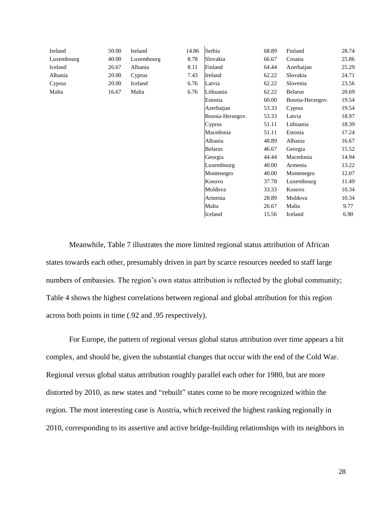| Ireland    | 50.00 | Ireland    | 14.86      | Serbia           | 68.89  | Finland          | 28.74 |
|------------|-------|------------|------------|------------------|--------|------------------|-------|
| Luxembourg | 40.00 | Luxembourg | 8.78       | Slovakia         | 66.67  | Croatia          | 25.86 |
| Iceland    | 26.67 | Albania    | 8.11       | Finland          | 64.44  | Azerbaijan       | 25.29 |
| Albania    | 20.00 | Cyprus     | 7.43       | Ireland          | 62.22  | Slovakia         | 24.71 |
| Cyprus     | 20.00 | Iceland    | 6.76       | Latvia           | 62.22  | Slovenia         | 23.56 |
| Malta      | 16.67 | Malta      | 6.76       | Lithuania        | 62.22  | <b>Belarus</b>   | 20.69 |
|            |       |            |            | Estonia          | 60.00  | Bosnia-Herzegov. | 19.54 |
|            |       |            | Azerbaijan | 53.33            | Cyprus | 19.54            |       |
|            |       |            |            | Bosnia-Herzegov. | 53.33  | Latvia           | 18.97 |
|            |       |            |            | Cyprus           | 51.11  | Lithuania        | 18.39 |
|            |       |            |            | Macedonia        | 51.11  | Estonia          | 17.24 |
|            |       |            |            | Albania          | 48.89  | Albania          | 16.67 |
|            |       |            |            | <b>Belarus</b>   | 46.67  | Georgia          | 15.52 |
|            |       |            |            | Georgia          | 44.44  | Macedonia        | 14.94 |
|            |       |            |            | Luxembourg       | 40.00  | Armenia          | 13.22 |
|            |       |            |            | Montenegro       | 40.00  | Montenegro       | 12.07 |
|            |       |            |            | Kosovo           | 37.78  | Luxembourg       | 11.49 |
|            |       |            |            | Moldova          | 33.33  | Kosovo           | 10.34 |
|            |       |            |            | Armenia          | 28.89  | Moldova          | 10.34 |
|            |       |            |            | Malta            | 26.67  | Malta            | 9.77  |
|            |       |            |            | Iceland          | 15.56  | Iceland          | 6.90  |

Meanwhile, Table 7 illustrates the more limited regional status attribution of African states towards each other, presumably driven in part by scarce resources needed to staff large numbers of embassies. The region's own status attribution is reflected by the global community; Table 4 shows the highest correlations between regional and global attribution for this region across both points in time (.92 and .95 respectively).

For Europe, the pattern of regional versus global status attribution over time appears a bit complex, and should be, given the substantial changes that occur with the end of the Cold War. Regional versus global status attribution roughly parallel each other for 1980, but are more distorted by 2010, as new states and "rebuilt" states come to be more recognized within the region. The most interesting case is Austria, which received the highest ranking regionally in 2010, corresponding to its assertive and active bridge-building relationships with its neighbors in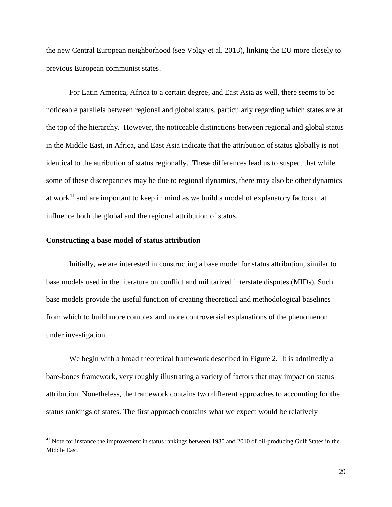the new Central European neighborhood (see Volgy et al. 2013), linking the EU more closely to previous European communist states.

For Latin America, Africa to a certain degree, and East Asia as well, there seems to be noticeable parallels between regional and global status, particularly regarding which states are at the top of the hierarchy. However, the noticeable distinctions between regional and global status in the Middle East, in Africa, and East Asia indicate that the attribution of status globally is not identical to the attribution of status regionally. These differences lead us to suspect that while some of these discrepancies may be due to regional dynamics, there may also be other dynamics at work $41$  and are important to keep in mind as we build a model of explanatory factors that influence both the global and the regional attribution of status.

#### **Constructing a base model of status attribution**

 $\overline{a}$ 

Initially, we are interested in constructing a base model for status attribution, similar to base models used in the literature on conflict and militarized interstate disputes (MIDs). Such base models provide the useful function of creating theoretical and methodological baselines from which to build more complex and more controversial explanations of the phenomenon under investigation.

We begin with a broad theoretical framework described in Figure 2. It is admittedly a bare-bones framework, very roughly illustrating a variety of factors that may impact on status attribution. Nonetheless, the framework contains two different approaches to accounting for the status rankings of states. The first approach contains what we expect would be relatively

<sup>&</sup>lt;sup>41</sup> Note for instance the improvement in status rankings between 1980 and 2010 of oil-producing Gulf States in the Middle East.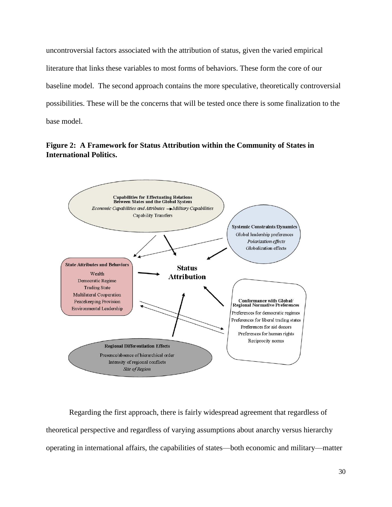uncontroversial factors associated with the attribution of status, given the varied empirical literature that links these variables to most forms of behaviors. These form the core of our baseline model. The second approach contains the more speculative, theoretically controversial possibilities. These will be the concerns that will be tested once there is some finalization to the base model.

**Figure 2: A Framework for Status Attribution within the Community of States in International Politics.**



Regarding the first approach, there is fairly widespread agreement that regardless of theoretical perspective and regardless of varying assumptions about anarchy versus hierarchy operating in international affairs, the capabilities of states—both economic and military—matter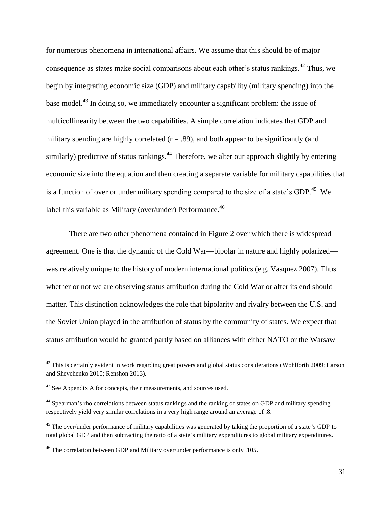for numerous phenomena in international affairs. We assume that this should be of major consequence as states make social comparisons about each other's status rankings.<sup>42</sup> Thus, we begin by integrating economic size (GDP) and military capability (military spending) into the base model.<sup>43</sup> In doing so, we immediately encounter a significant problem: the issue of multicollinearity between the two capabilities. A simple correlation indicates that GDP and military spending are highly correlated  $(r = .89)$ , and both appear to be significantly (and similarly) predictive of status rankings.<sup>44</sup> Therefore, we alter our approach slightly by entering economic size into the equation and then creating a separate variable for military capabilities that is a function of over or under military spending compared to the size of a state's GDP.<sup>45</sup> We label this variable as Military (over/under) Performance.<sup>46</sup>

There are two other phenomena contained in Figure 2 over which there is widespread agreement. One is that the dynamic of the Cold War—bipolar in nature and highly polarized was relatively unique to the history of modern international politics (e.g. Vasquez 2007). Thus whether or not we are observing status attribution during the Cold War or after its end should matter. This distinction acknowledges the role that bipolarity and rivalry between the U.S. and the Soviet Union played in the attribution of status by the community of states. We expect that status attribution would be granted partly based on alliances with either NATO or the Warsaw

 $42$  This is certainly evident in work regarding great powers and global status considerations (Wohlforth 2009; Larson and Shevchenko 2010; Renshon 2013).

<sup>&</sup>lt;sup>43</sup> See Appendix A for concepts, their measurements, and sources used.

<sup>&</sup>lt;sup>44</sup> Spearman's rho correlations between status rankings and the ranking of states on GDP and military spending respectively yield very similar correlations in a very high range around an average of .8.

<sup>&</sup>lt;sup>45</sup> The over/under performance of military capabilities was generated by taking the proportion of a state's GDP to total global GDP and then subtracting the ratio of a state's military expenditures to global military expenditures.

<sup>46</sup> The correlation between GDP and Military over/under performance is only .105.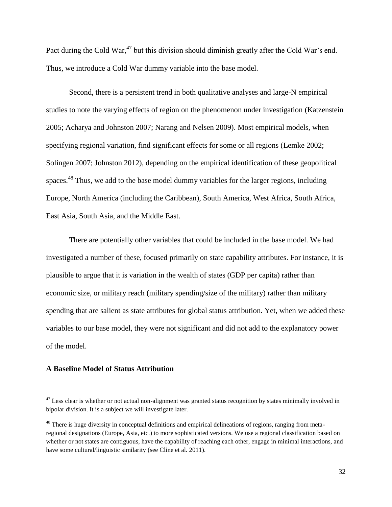Pact during the Cold War,<sup>47</sup> but this division should diminish greatly after the Cold War's end. Thus, we introduce a Cold War dummy variable into the base model.

Second, there is a persistent trend in both qualitative analyses and large-N empirical studies to note the varying effects of region on the phenomenon under investigation (Katzenstein 2005; Acharya and Johnston 2007; Narang and Nelsen 2009). Most empirical models, when specifying regional variation, find significant effects for some or all regions (Lemke 2002; Solingen 2007; Johnston 2012), depending on the empirical identification of these geopolitical spaces.<sup>48</sup> Thus, we add to the base model dummy variables for the larger regions, including Europe, North America (including the Caribbean), South America, West Africa, South Africa, East Asia, South Asia, and the Middle East.

There are potentially other variables that could be included in the base model. We had investigated a number of these, focused primarily on state capability attributes. For instance, it is plausible to argue that it is variation in the wealth of states (GDP per capita) rather than economic size, or military reach (military spending/size of the military) rather than military spending that are salient as state attributes for global status attribution. Yet, when we added these variables to our base model, they were not significant and did not add to the explanatory power of the model.

#### **A Baseline Model of Status Attribution**

l

 $47$  Less clear is whether or not actual non-alignment was granted status recognition by states minimally involved in bipolar division. It is a subject we will investigate later.

<sup>&</sup>lt;sup>48</sup> There is huge diversity in conceptual definitions and empirical delineations of regions, ranging from metaregional designations (Europe, Asia, etc.) to more sophisticated versions. We use a regional classification based on whether or not states are contiguous, have the capability of reaching each other, engage in minimal interactions, and have some cultural/linguistic similarity (see Cline et al. 2011).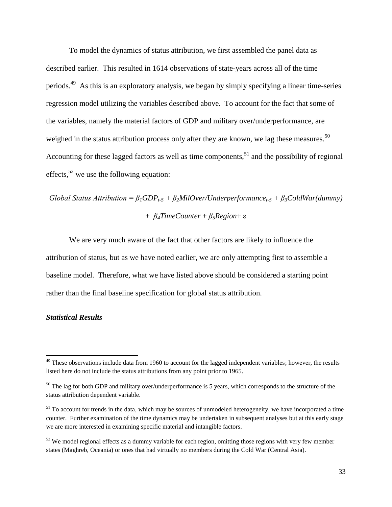To model the dynamics of status attribution, we first assembled the panel data as described earlier. This resulted in 1614 observations of state-years across all of the time periods.<sup>49</sup> As this is an exploratory analysis, we began by simply specifying a linear time-series regression model utilizing the variables described above. To account for the fact that some of the variables, namely the material factors of GDP and military over/underperformance, are weighed in the status attribution process only after they are known, we lag these measures.<sup>50</sup> Accounting for these lagged factors as well as time components,  $51$  and the possibility of regional effects,  $52$  we use the following equation:

# *Global Status Attribution* =  $\beta_1 GDP_{t-5} + \beta_2 MilOver/Underperformance_{t-5} + \beta_3 ColdWar(dummy)$ + *β4TimeCounter* + *β5Region*+ ε

We are very much aware of the fact that other factors are likely to influence the attribution of status, but as we have noted earlier, we are only attempting first to assemble a baseline model. Therefore, what we have listed above should be considered a starting point rather than the final baseline specification for global status attribution.

### *Statistical Results*

 $49$  These observations include data from 1960 to account for the lagged independent variables; however, the results listed here do not include the status attributions from any point prior to 1965.

<sup>&</sup>lt;sup>50</sup> The lag for both GDP and military over/underperformance is 5 years, which corresponds to the structure of the status attribution dependent variable.

 $<sup>51</sup>$  To account for trends in the data, which may be sources of unmodeled heterogeneity, we have incorporated a time</sup> counter. Further examination of the time dynamics may be undertaken in subsequent analyses but at this early stage we are more interested in examining specific material and intangible factors.

 $52$  We model regional effects as a dummy variable for each region, omitting those regions with very few member states (Maghreb, Oceania) or ones that had virtually no members during the Cold War (Central Asia).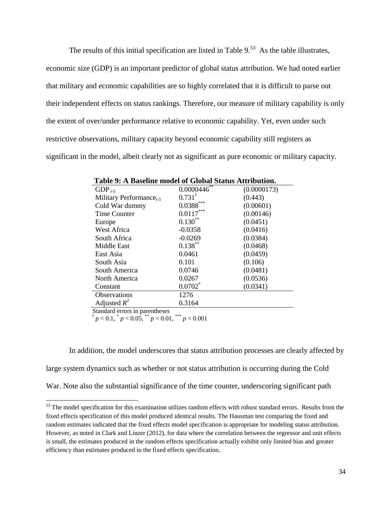The results of this initial specification are listed in Table  $9^{53}$ . As the table illustrates, economic size (GDP) is an important predictor of global status attribution. We had noted earlier that military and economic capabilities are so highly correlated that it is difficult to parse out their independent effects on status rankings. Therefore, our measure of military capability is only the extent of over/under performance relative to economic capability. Yet, even under such restrictive observations, military capacity beyond economic capability still registers as significant in the model, albeit clearly not as significant as pure economic or military capacity.

| $GDP_{t-5}$                         | 0.0000446         | (0.0000173) |
|-------------------------------------|-------------------|-------------|
| Military Performance <sub>t-5</sub> | $0.731^{\dagger}$ | (0.443)     |
| Cold War dummy                      | $0.0388^{***}\,$  | (0.00601)   |
| <b>Time Counter</b>                 | $0.0117***$       | (0.00146)   |
| Europe                              | $0.130**$         | (0.0451)    |
| West Africa                         | $-0.0358$         | (0.0416)    |
| South Africa                        | $-0.0269$         | (0.0384)    |
| Middle East                         | $0.138***$        | (0.0468)    |
| East Asia                           | 0.0461            | (0.0459)    |
| South Asia                          | 0.101             | (0.106)     |
| South America                       | 0.0746            | (0.0481)    |
| North America                       | 0.0267            | (0.0536)    |
| Constant                            | $0.0702^*$        | (0.0341)    |
| Observations                        | 1276              |             |
| Adjusted $R^2$                      | 0.3164            |             |

† 1989 - 1989 - 1989 - 1989 - 1989  $p < 0.1, \sqrt[4]{p} < 0.05, \sqrt[4]{p} < 0.01, \sqrt[4]{p} < 0.001$ 

 $\overline{a}$ 

In addition, the model underscores that status attribution processes are clearly affected by large system dynamics such as whether or not status attribution is occurring during the Cold War. Note also the substantial significance of the time counter, underscoring significant path

 $53$  The model specification for this examination utilizes random effects with robust standard errors. Results from the fixed effects specification of this model produced identical results. The Hausman test comparing the fixed and random estimates indicated that the fixed effects model specification is appropriate for modeling status attribution. However, as noted in Clark and Linzer (2012), for data where the correlation between the regressor and unit effects is small, the estimates produced in the random effects specification actually exhibit only limited bias and greater efficiency than estimates produced in the fixed effects specification.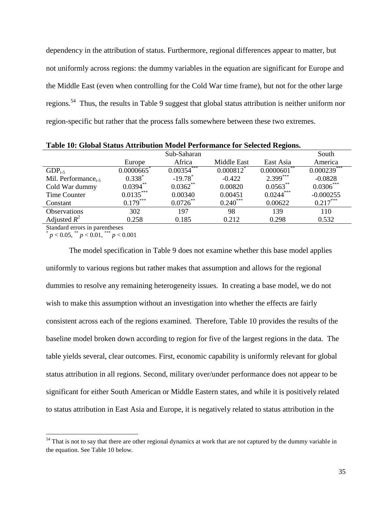dependency in the attribution of status. Furthermore, regional differences appear to matter, but not uniformly across regions: the dummy variables in the equation are significant for Europe and the Middle East (even when controlling for the Cold War time frame), but not for the other large regions.<sup>54</sup> Thus, the results in Table 9 suggest that global status attribution is neither uniform nor region-specific but rather that the process falls somewhere between these two extremes.

| Table Tv. Global Status Atti ibutibil Mouel I efformance for Selected Regions. |               |                       |                         |                  |               |  |
|--------------------------------------------------------------------------------|---------------|-----------------------|-------------------------|------------------|---------------|--|
|                                                                                |               | Sub-Saharan           |                         |                  | South         |  |
|                                                                                | Europe        | Africa                | Middle East             | East Asia        | America       |  |
| $GDP_{t-5}$                                                                    | $0.0000665$ * | $0.00354***$          | $0.000812$ <sup>*</sup> | $0.0000601^{**}$ | $0.000239***$ |  |
| Mil. Performance $_{t=5}$                                                      | $0.338*$      | $-19.78$ <sup>*</sup> | $-0.422$                | $2.399***$       | $-0.0828$     |  |
| Cold War dummy                                                                 | $0.0394**$    | $0.0362**$            | 0.00820                 | $0.0563***$      | $0.0306***$   |  |
| Time Counter                                                                   | $0.0135***$   | 0.00340               | 0.00451                 | $0.0244***$      | $-0.000255$   |  |
| Constant                                                                       | $0.179***$    | $0.0726$ **           | $0.240***$              | 0.00622          | $0.217***$    |  |
| Observations                                                                   | 302           | 197                   | 98                      | 139              | 110           |  |
| Adjusted $R^2$                                                                 | 0.258         | 0.185                 | 0.212                   | 0.298            | 0.532         |  |
|                                                                                |               |                       |                         |                  |               |  |

**Table 10: Global Status Attribution Model Performance for Selected Regions.**

Standard errors in parentheses

 $\overline{a}$ 

\*  $p < 0.05$ ,  $\sqrt[**]{p} < 0.01$ ,  $\sqrt[**]{p} < 0.001$ 

The model specification in Table 9 does not examine whether this base model applies uniformly to various regions but rather makes that assumption and allows for the regional dummies to resolve any remaining heterogeneity issues. In creating a base model, we do not wish to make this assumption without an investigation into whether the effects are fairly consistent across each of the regions examined. Therefore, Table 10 provides the results of the baseline model broken down according to region for five of the largest regions in the data. The table yields several, clear outcomes. First, economic capability is uniformly relevant for global status attribution in all regions. Second, military over/under performance does not appear to be significant for either South American or Middle Eastern states, and while it is positively related to status attribution in East Asia and Europe, it is negatively related to status attribution in the

<sup>&</sup>lt;sup>54</sup> That is not to say that there are other regional dynamics at work that are not captured by the dummy variable in the equation. See Table 10 below.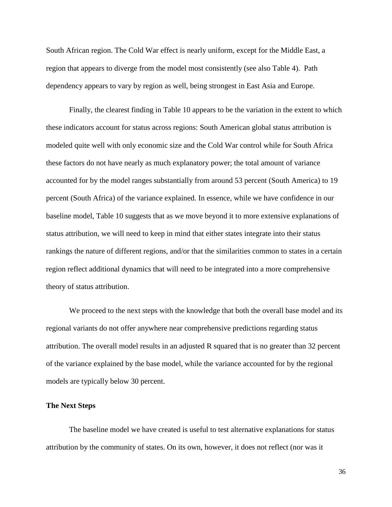South African region. The Cold War effect is nearly uniform, except for the Middle East, a region that appears to diverge from the model most consistently (see also Table 4). Path dependency appears to vary by region as well, being strongest in East Asia and Europe.

Finally, the clearest finding in Table 10 appears to be the variation in the extent to which these indicators account for status across regions: South American global status attribution is modeled quite well with only economic size and the Cold War control while for South Africa these factors do not have nearly as much explanatory power; the total amount of variance accounted for by the model ranges substantially from around 53 percent (South America) to 19 percent (South Africa) of the variance explained. In essence, while we have confidence in our baseline model, Table 10 suggests that as we move beyond it to more extensive explanations of status attribution, we will need to keep in mind that either states integrate into their status rankings the nature of different regions, and/or that the similarities common to states in a certain region reflect additional dynamics that will need to be integrated into a more comprehensive theory of status attribution.

We proceed to the next steps with the knowledge that both the overall base model and its regional variants do not offer anywhere near comprehensive predictions regarding status attribution. The overall model results in an adjusted R squared that is no greater than 32 percent of the variance explained by the base model, while the variance accounted for by the regional models are typically below 30 percent.

#### **The Next Steps**

The baseline model we have created is useful to test alternative explanations for status attribution by the community of states. On its own, however, it does not reflect (nor was it

36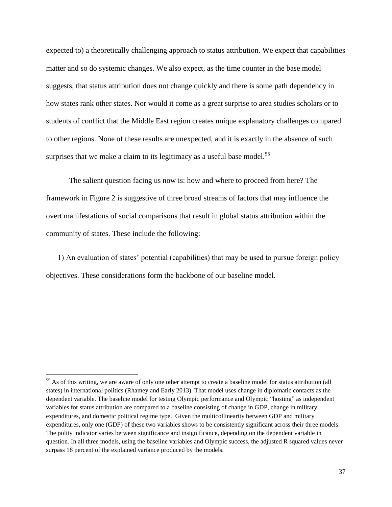expected to) a theoretically challenging approach to status attribution. We expect that capabilities matter and so do systemic changes. We also expect, as the time counter in the base model suggests, that status attribution does not change quickly and there is some path dependency in how states rank other states. Nor would it come as a great surprise to area studies scholars or to students of conflict that the Middle East region creates unique explanatory challenges compared to other regions. None of these results are unexpected, and it is exactly in the absence of such surprises that we make a claim to its legitimacy as a useful base model.<sup>55</sup>

The salient question facing us now is: how and where to proceed from here? The framework in Figure 2 is suggestive of three broad streams of factors that may influence the overt manifestations of social comparisons that result in global status attribution within the community of states. These include the following:

1) An evaluation of states' potential (capabilities) that may be used to pursue foreign policy objectives. These considerations form the backbone of our baseline model.

 $55$  As of this writing, we are aware of only one other attempt to create a baseline model for status attribution (all states) in international politics (Rhamey and Early 2013). That model uses change in diplomatic contacts as the dependent variable. The baseline model for testing Olympic performance and Olympic "hosting" as independent variables for status attribution are compared to a baseline consisting of change in GDP, change in military expenditures, and domestic political regime type. Given the multicollinearity between GDP and military expenditures, only one (GDP) of these two variables shows to be consistently significant across their three models. The polity indicator varies between significance and insignificance, depending on the dependent variable in question. In all three models, using the baseline variables and Olympic success, the adjusted R squared values never surpass 18 percent of the explained variance produced by the models.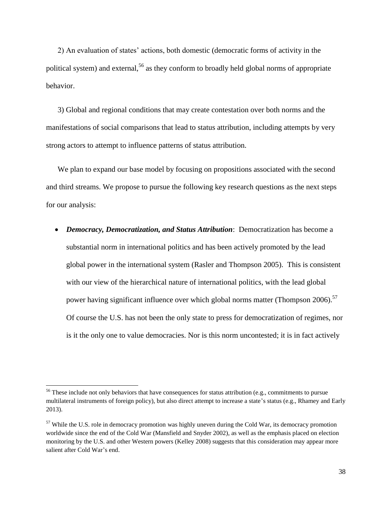2) An evaluation of states' actions, both domestic (democratic forms of activity in the political system) and external,<sup>56</sup> as they conform to broadly held global norms of appropriate behavior.

3) Global and regional conditions that may create contestation over both norms and the manifestations of social comparisons that lead to status attribution, including attempts by very strong actors to attempt to influence patterns of status attribution.

We plan to expand our base model by focusing on propositions associated with the second and third streams. We propose to pursue the following key research questions as the next steps for our analysis:

 *Democracy, Democratization, and Status Attribution*: Democratization has become a substantial norm in international politics and has been actively promoted by the lead global power in the international system (Rasler and Thompson 2005). This is consistent with our view of the hierarchical nature of international politics, with the lead global power having significant influence over which global norms matter (Thompson 2006).<sup>57</sup> Of course the U.S. has not been the only state to press for democratization of regimes, nor is it the only one to value democracies. Nor is this norm uncontested; it is in fact actively

<sup>&</sup>lt;sup>56</sup> These include not only behaviors that have consequences for status attribution (e.g., commitments to pursue multilateral instruments of foreign policy), but also direct attempt to increase a state's status (e.g., Rhamey and Early 2013).

<sup>&</sup>lt;sup>57</sup> While the U.S. role in democracy promotion was highly uneven during the Cold War, its democracy promotion worldwide since the end of the Cold War (Mansfield and Snyder 2002), as well as the emphasis placed on election monitoring by the U.S. and other Western powers (Kelley 2008) suggests that this consideration may appear more salient after Cold War's end.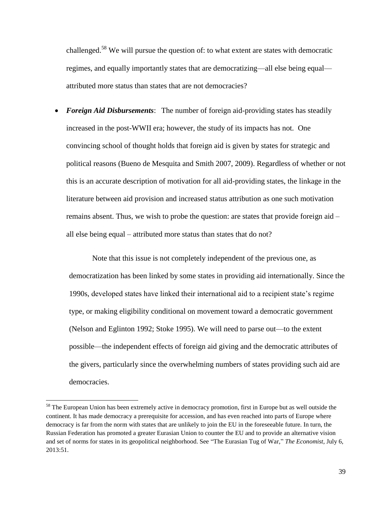challenged.<sup>58</sup> We will pursue the question of: to what extent are states with democratic regimes, and equally importantly states that are democratizing—all else being equal attributed more status than states that are not democracies?

 *Foreign Aid Disbursements*: The number of foreign aid-providing states has steadily increased in the post-WWII era; however, the study of its impacts has not. One convincing school of thought holds that foreign aid is given by states for strategic and political reasons (Bueno de Mesquita and Smith 2007, 2009). Regardless of whether or not this is an accurate description of motivation for all aid-providing states, the linkage in the literature between aid provision and increased status attribution as one such motivation remains absent. Thus, we wish to probe the question: are states that provide foreign aid – all else being equal – attributed more status than states that do not?

Note that this issue is not completely independent of the previous one, as democratization has been linked by some states in providing aid internationally. Since the 1990s, developed states have linked their international aid to a recipient state's regime type, or making eligibility conditional on movement toward a democratic government (Nelson and Eglinton 1992; Stoke 1995). We will need to parse out—to the extent possible—the independent effects of foreign aid giving and the democratic attributes of the givers, particularly since the overwhelming numbers of states providing such aid are democracies.

<sup>&</sup>lt;sup>58</sup> The European Union has been extremely active in democracy promotion, first in Europe but as well outside the continent. It has made democracy a prerequisite for accession, and has even reached into parts of Europe where democracy is far from the norm with states that are unlikely to join the EU in the foreseeable future. In turn, the Russian Federation has promoted a greater Eurasian Union to counter the EU and to provide an alternative vision and set of norms for states in its geopolitical neighborhood. See "The Eurasian Tug of War," *The Economist*, July 6, 2013:51.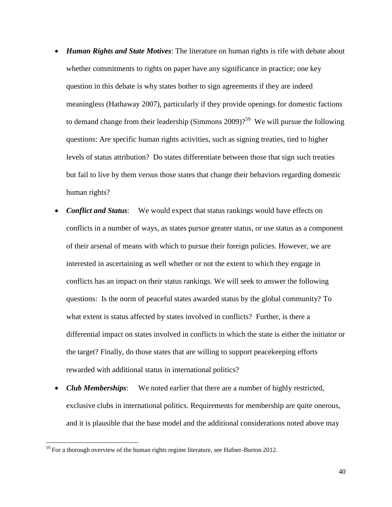- *Human Rights and State Motives*: The literature on human rights is rife with debate about whether commitments to rights on paper have any significance in practice; one key question in this debate is why states bother to sign agreements if they are indeed meaningless (Hathaway 2007), particularly if they provide openings for domestic factions to demand change from their leadership (Simmons  $2009$ )<sup> $259$ </sup> We will pursue the following questions: Are specific human rights activities, such as signing treaties, tied to higher levels of status attribution? Do states differentiate between those that sign such treaties but fail to live by them versus those states that change their behaviors regarding domestic human rights?
- *Conflict and Status*: We would expect that status rankings would have effects on conflicts in a number of ways, as states pursue greater status, or use status as a component of their arsenal of means with which to pursue their foreign policies. However, we are interested in ascertaining as well whether or not the extent to which they engage in conflicts has an impact on their status rankings. We will seek to answer the following questions: Is the norm of peaceful states awarded status by the global community? To what extent is status affected by states involved in conflicts? Further, is there a differential impact on states involved in conflicts in which the state is either the initiator or the target? Finally, do those states that are willing to support peacekeeping efforts rewarded with additional status in international politics?
- *Club Memberships*: We noted earlier that there are a number of highly restricted, exclusive clubs in international politics. Requirements for membership are quite onerous, and it is plausible that the base model and the additional considerations noted above may

 $59$  For a thorough overview of the human rights regime literature, see Hafner-Burton 2012.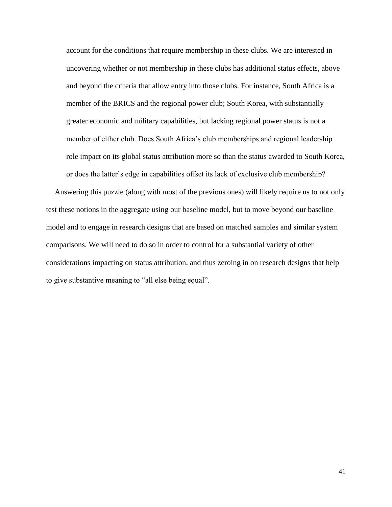account for the conditions that require membership in these clubs. We are interested in uncovering whether or not membership in these clubs has additional status effects, above and beyond the criteria that allow entry into those clubs. For instance, South Africa is a member of the BRICS and the regional power club; South Korea, with substantially greater economic and military capabilities, but lacking regional power status is not a member of either club. Does South Africa's club memberships and regional leadership role impact on its global status attribution more so than the status awarded to South Korea, or does the latter's edge in capabilities offset its lack of exclusive club membership?

Answering this puzzle (along with most of the previous ones) will likely require us to not only test these notions in the aggregate using our baseline model, but to move beyond our baseline model and to engage in research designs that are based on matched samples and similar system comparisons. We will need to do so in order to control for a substantial variety of other considerations impacting on status attribution, and thus zeroing in on research designs that help to give substantive meaning to "all else being equal".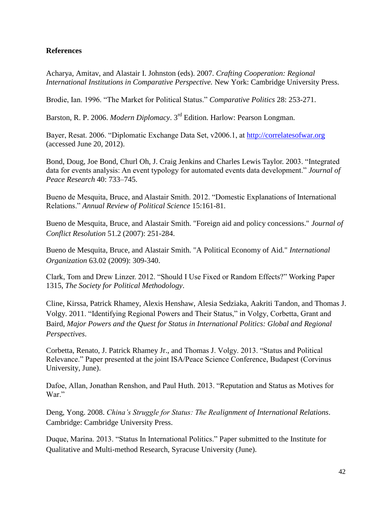### **References**

Acharya, Amitav, and Alastair I. Johnston (eds). 2007. *Crafting Cooperation: Regional International Institutions in Comparative Perspective.* New York: Cambridge University Press.

Brodie, Ian. 1996. "The Market for Political Status." *Comparative Politics* 28: 253-271.

Barston, R. P. 2006. *Modern Diplomacy*. 3rd Edition. Harlow: Pearson Longman.

Bayer, Resat. 2006. "Diplomatic Exchange Data Set, v2006.1, at [http://correlatesofwar.org](http://correlatesofwar.org/) (accessed June 20, 2012).

Bond, Doug, Joe Bond, Churl Oh, J. Craig Jenkins and Charles Lewis Taylor. 2003. "Integrated data for events analysis: An event typology for automated events data development." *Journal of Peace Research* 40: 733–745.

Bueno de Mesquita, Bruce, and Alastair Smith. 2012. "Domestic Explanations of International Relations." *Annual Review of Political Science* 15:161-81.

Bueno de Mesquita, Bruce, and Alastair Smith. "Foreign aid and policy concessions." *Journal of Conflict Resolution* 51.2 (2007): 251-284.

Bueno de Mesquita, Bruce, and Alastair Smith. "A Political Economy of Aid." *International Organization* 63.02 (2009): 309-340.

Clark, Tom and Drew Linzer. 2012. "Should I Use Fixed or Random Effects?" Working Paper 1315, *The Society for Political Methodology*.

Cline, Kirssa, Patrick Rhamey, Alexis Henshaw, Alesia Sedziaka, Aakriti Tandon, and Thomas J. Volgy. 2011. "Identifying Regional Powers and Their Status," in Volgy, Corbetta, Grant and Baird, *Major Powers and the Quest for Status in International Politics: Global and Regional Perspectives*.

Corbetta, Renato, J. Patrick Rhamey Jr., and Thomas J. Volgy. 2013. "Status and Political Relevance." Paper presented at the joint ISA/Peace Science Conference, Budapest (Corvinus University, June).

Dafoe, Allan, Jonathan Renshon, and Paul Huth. 2013. "Reputation and Status as Motives for War."

Deng, Yong. 2008. *China's Struggle for Status: The Realignment of International Relations*. Cambridge: Cambridge University Press.

Duque, Marina. 2013. "Status In International Politics." Paper submitted to the Institute for Qualitative and Multi-method Research, Syracuse University (June).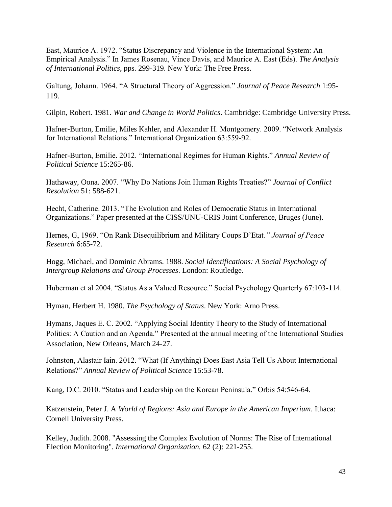East, Maurice A. 1972. "Status Discrepancy and Violence in the International System: An Empirical Analysis." In James Rosenau, Vince Davis, and Maurice A. East (Eds). *The Analysis of International Politics*, pps. 299-319. New York: The Free Press.

Galtung, Johann. 1964. "A Structural Theory of Aggression." *Journal of Peace Research* 1:95- 119.

Gilpin, Robert. 1981. *War and Change in World Politics*. Cambridge: Cambridge University Press.

Hafner-Burton, Emilie, Miles Kahler, and Alexander H. Montgomery. 2009. "Network Analysis for International Relations." International Organization 63:559-92.

Hafner-Burton, Emilie. 2012. "International Regimes for Human Rights." *Annual Review of Political Science* 15:265-86.

Hathaway, Oona. 2007. "Why Do Nations Join Human Rights Treaties?" *Journal of Conflict Resolution* 51: 588-621.

Hecht, Catherine. 2013. "The Evolution and Roles of Democratic Status in International Organizations." Paper presented at the CISS/UNU-CRIS Joint Conference, Bruges (June).

Hernes, G, 1969. "On Rank Disequilibrium and Military Coups D'Etat*." Journal of Peace Research* 6:65-72.

Hogg, Michael, and Dominic Abrams. 1988. *Social Identifications: A Social Psychology of Intergroup Relations and Group Processes*. London: Routledge.

Huberman et al 2004. "Status As a Valued Resource." Social Psychology Quarterly 67:103-114.

Hyman, Herbert H. 1980. *The Psychology of Status*. New York: Arno Press.

Hymans, Jaques E. C. 2002. "Applying Social Identity Theory to the Study of International Politics: A Caution and an Agenda." Presented at the annual meeting of the International Studies Association, New Orleans, March 24-27.

Johnston, Alastair Iain. 2012. "What (If Anything) Does East Asia Tell Us About International Relations?" *Annual Review of Political Science* 15:53-78.

Kang, D.C. 2010. "Status and Leadership on the Korean Peninsula." Orbis 54:546-64.

Katzenstein, Peter J. A *World of Regions: Asia and Europe in the American Imperium*. Ithaca: Cornell University Press.

Kelley, Judith. 2008. "Assessing the Complex Evolution of Norms: The Rise of International Election Monitoring". *International Organization.* 62 (2): 221-255.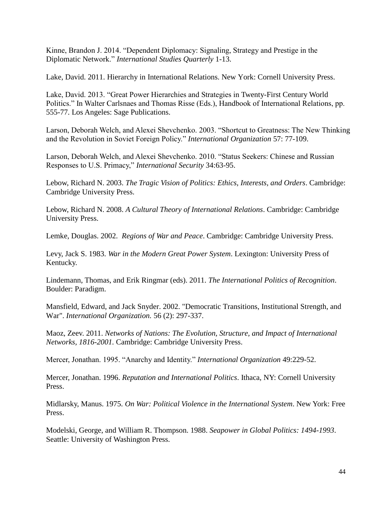Kinne, Brandon J. 2014. "Dependent Diplomacy: Signaling, Strategy and Prestige in the Diplomatic Network." *International Studies Quarterly* 1-13.

Lake, David. 2011. Hierarchy in International Relations. New York: Cornell University Press.

Lake, David. 2013. "Great Power Hierarchies and Strategies in Twenty-First Century World Politics." In Walter Carlsnaes and Thomas Risse (Eds.), Handbook of International Relations, pp. 555-77. Los Angeles: Sage Publications.

Larson, Deborah Welch, and Alexei Shevchenko. 2003. "Shortcut to Greatness: The New Thinking and the Revolution in Soviet Foreign Policy." *International Organization* 57: 77-109.

Larson, Deborah Welch, and Alexei Shevchenko. 2010. "Status Seekers: Chinese and Russian Responses to U.S. Primacy," *International Security* 34:63-95.

Lebow, Richard N. 2003. *The Tragic Vision of Politics: Ethics, Interests, and Orders*. Cambridge: Cambridge University Press.

Lebow, Richard N. 2008. *A Cultural Theory of International Relations*. Cambridge: Cambridge University Press.

Lemke, Douglas. 2002. *Regions of War and Peace*. Cambridge: Cambridge University Press.

Levy, Jack S. 1983. *War in the Modern Great Power System*. Lexington: University Press of Kentucky.

Lindemann, Thomas, and Erik Ringmar (eds). 2011. *The International Politics of Recognition*. Boulder: Paradigm.

Mansfield, Edward, and Jack Snyder. 2002. "Democratic Transitions, Institutional Strength, and War". *International Organization.* 56 (2): 297-337.

Maoz, Zeev. 2011. *Networks of Nations: The Evolution, Structure, and Impact of International Networks, 1816-2001.* Cambridge: Cambridge University Press.

Mercer, Jonathan. 1995. "Anarchy and Identity." *International Organization* 49:229-52.

Mercer, Jonathan. 1996. *Reputation and International Politics*. Ithaca, NY: Cornell University Press.

Midlarsky, Manus. 1975. *On War: Political Violence in the International System*. New York: Free Press.

Modelski, George, and William R. Thompson. 1988. *Seapower in Global Politics: 1494-1993*. Seattle: University of Washington Press.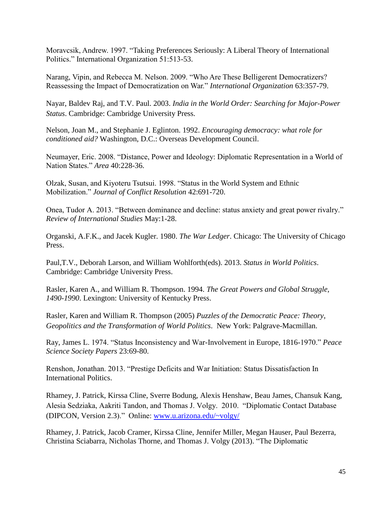Moravcsik, Andrew. 1997. "Taking Preferences Seriously: A Liberal Theory of International Politics." International Organization 51:513-53.

Narang, Vipin, and Rebecca M. Nelson. 2009. "Who Are These Belligerent Democratizers? Reassessing the Impact of Democratization on War." *International Organization* 63:357-79.

Nayar, Baldev Raj, and T.V. Paul. 2003. *India in the World Order: Searching for Major-Power Status*. Cambridge: Cambridge University Press.

Nelson, Joan M., and Stephanie J. Eglinton. 1992. *Encouraging democracy: what role for conditioned aid?* Washington, D.C.: Overseas Development Council.

Neumayer, Eric. 2008. "Distance, Power and Ideology: Diplomatic Representation in a World of Nation States." *Area* 40:228-36.

Olzak, Susan, and Kiyoteru Tsutsui. 1998. "Status in the World System and Ethnic Mobilization." *Journal of Conflict Resolution* 42:691-720.

Onea, Tudor A. 2013. "Between dominance and decline: status anxiety and great power rivalry." *Review of International Studies* May:1-28.

Organski, A.F.K., and Jacek Kugler. 1980. *The War Ledger*. Chicago: The University of Chicago Press.

Paul,T.V., Deborah Larson, and William Wohlforth(eds). 2013. *Status in World Politics*. Cambridge: Cambridge University Press.

Rasler, Karen A., and William R. Thompson. 1994. *The Great Powers and Global Struggle, 1490-1990*. Lexington: University of Kentucky Press.

Rasler, Karen and William R. Thompson (2005) *Puzzles of the Democratic Peace: Theory, Geopolitics and the Transformation of World Politics*. New York: Palgrave-Macmillan.

Ray, James L. 1974. "Status Inconsistency and War-Involvement in Europe, 1816-1970." *Peace Science Society Papers* 23:69-80.

Renshon, Jonathan. 2013. "Prestige Deficits and War Initiation: Status Dissatisfaction In International Politics.

Rhamey, J. Patrick, Kirssa Cline, Sverre Bodung, Alexis Henshaw, Beau James, Chansuk Kang, Alesia Sedziaka, Aakriti Tandon, and Thomas J. Volgy. 2010. "Diplomatic Contact Database (DIPCON, Version 2.3)." Online: [www.u.arizona.edu/~volgy/](http://www.u.arizona.edu/~volgy/)

Rhamey, J. Patrick, Jacob Cramer, Kirssa Cline, Jennifer Miller, Megan Hauser, Paul Bezerra, Christina Sciabarra, Nicholas Thorne, and Thomas J. Volgy (2013). "The Diplomatic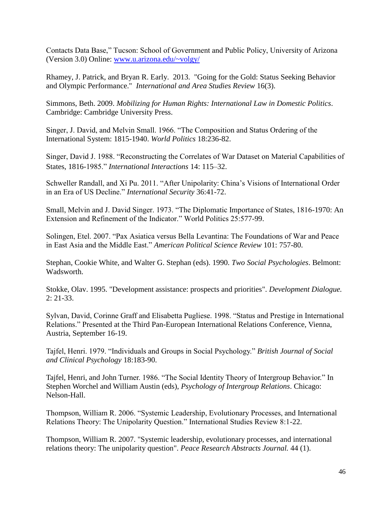Contacts Data Base," Tucson: School of Government and Public Policy, University of Arizona (Version 3.0) Online: [www.u.arizona.edu/~volgy/](http://www.u.arizona.edu/~volgy/)

Rhamey, J. Patrick, and Bryan R. Early. 2013. "Going for the Gold: Status Seeking Behavior and Olympic Performance." *International and Area Studies Review* 16(3).

Simmons, Beth. 2009. *Mobilizing for Human Rights: International Law in Domestic Politics*. Cambridge: Cambridge University Press.

Singer, J. David, and Melvin Small. 1966. "The Composition and Status Ordering of the International System: 1815-1940. *World Politics* 18:236-82.

Singer, David J. 1988. "Reconstructing the Correlates of War Dataset on Material Capabilities of States, 1816-1985." *International Interactions* 14: 115–32.

Schweller Randall, and Xi Pu. 2011. "After Unipolarity: China's Visions of International Order in an Era of US Decline." *International Security* 36:41-72.

Small, Melvin and J. David Singer. 1973. "The Diplomatic Importance of States, 1816-1970: An Extension and Refinement of the Indicator." World Politics 25:577-99.

Solingen, Etel. 2007. "Pax Asiatica versus Bella Levantina: The Foundations of War and Peace in East Asia and the Middle East." *American Political Science Review* 101: 757-80.

Stephan, Cookie White, and Walter G. Stephan (eds). 1990. *Two Social Psychologies*. Belmont: Wadsworth.

Stokke, Olav. 1995. "Development assistance: prospects and priorities". *Development Dialogue.*  2: 21-33.

Sylvan, David, Corinne Graff and Elisabetta Pugliese. 1998. "Status and Prestige in International Relations." Presented at the Third Pan-European International Relations Conference, Vienna, Austria, September 16-19.

Tajfel, Henri. 1979. "Individuals and Groups in Social Psychology." *British Journal of Social and Clinical Psychology* 18:183-90.

Tajfel, Henri, and John Turner. 1986. "The Social Identity Theory of Intergroup Behavior." In Stephen Worchel and William Austin (eds), *Psychology of Intergroup Relations*. Chicago: Nelson-Hall.

Thompson, William R. 2006. "Systemic Leadership, Evolutionary Processes, and International Relations Theory: The Unipolarity Question." International Studies Review 8:1-22.

Thompson, William R. 2007. "Systemic leadership, evolutionary processes, and international relations theory: The unipolarity question". *Peace Research Abstracts Journal.* 44 (1).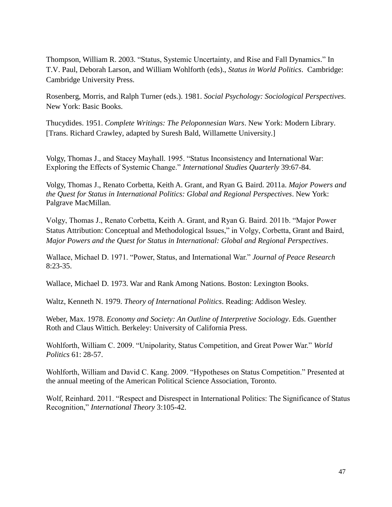Thompson, William R. 2003. "Status, Systemic Uncertainty, and Rise and Fall Dynamics." In T.V. Paul, Deborah Larson, and William Wohlforth (eds)., *Status in World Politics*. Cambridge: Cambridge University Press.

Rosenberg, Morris, and Ralph Turner (eds.). 1981. *Social Psychology: Sociological Perspectives*. New York: Basic Books.

Thucydides. 1951. *Complete Writings: The Peloponnesian Wars*. New York: Modern Library. [Trans. Richard Crawley, adapted by Suresh Bald, Willamette University.]

Volgy, Thomas J., and Stacey Mayhall. 1995. "Status Inconsistency and International War: Exploring the Effects of Systemic Change." *International Studies Quarterly* 39:67-84.

Volgy, Thomas J., Renato Corbetta, Keith A. Grant, and Ryan G. Baird. 2011a. *Major Powers and the Quest for Status in International Politics: Global and Regional Perspectives*. New York: Palgrave MacMillan.

Volgy, Thomas J., Renato Corbetta, Keith A. Grant, and Ryan G. Baird. 2011b. "Major Power Status Attribution: Conceptual and Methodological Issues," in Volgy, Corbetta, Grant and Baird, *Major Powers and the Quest for Status in International: Global and Regional Perspectives*.

Wallace, Michael D. 1971. "Power, Status, and International War." *Journal of Peace Research* 8:23-35.

Wallace, Michael D. 1973. War and Rank Among Nations. Boston: Lexington Books.

Waltz, Kenneth N. 1979. *Theory of International Politics*. Reading: Addison Wesley.

Weber, Max. 1978. *Economy and Society: An Outline of Interpretive Sociology*. Eds. Guenther Roth and Claus Wittich. Berkeley: University of California Press.

Wohlforth, William C. 2009. "Unipolarity, Status Competition, and Great Power War." *World Politics* 61: 28-57.

Wohlforth, William and David C. Kang. 2009. "Hypotheses on Status Competition." Presented at the annual meeting of the American Political Science Association, Toronto.

Wolf, Reinhard. 2011. "Respect and Disrespect in International Politics: The Significance of Status Recognition," *International Theory* 3:105-42.